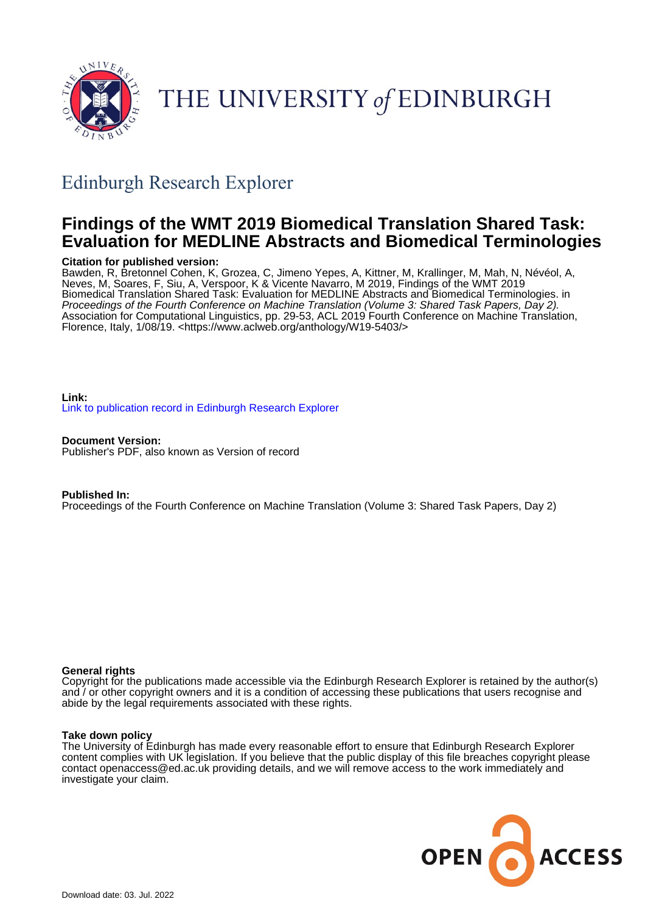

# THE UNIVERSITY of EDINBURGH

# Edinburgh Research Explorer

# **Findings of the WMT 2019 Biomedical Translation Shared Task: Evaluation for MEDLINE Abstracts and Biomedical Terminologies**

# **Citation for published version:**

Bawden, R, Bretonnel Cohen, K, Grozea, C, Jimeno Yepes, A, Kittner, M, Krallinger, M, Mah, N, Névéol, A, Neves, M, Soares, F, Siu, A, Verspoor, K & Vicente Navarro, M 2019, Findings of the WMT 2019 Biomedical Translation Shared Task: Evaluation for MEDLINE Abstracts and Biomedical Terminologies. in Proceedings of the Fourth Conference on Machine Translation (Volume 3: Shared Task Papers, Day 2). Association for Computational Linguistics, pp. 29-53, ACL 2019 Fourth Conference on Machine Translation, Florence, Italy, 1/08/19. [<https://www.aclweb.org/anthology/W19-5403/>](https://www.aclweb.org/anthology/W19-5403/)

# **Link:** [Link to publication record in Edinburgh Research Explorer](https://www.research.ed.ac.uk/en/publications/aa117151-626e-450b-b89a-c6638723f3dc)

**Document Version:** Publisher's PDF, also known as Version of record

# **Published In:**

Proceedings of the Fourth Conference on Machine Translation (Volume 3: Shared Task Papers, Day 2)

# **General rights**

Copyright for the publications made accessible via the Edinburgh Research Explorer is retained by the author(s) and / or other copyright owners and it is a condition of accessing these publications that users recognise and abide by the legal requirements associated with these rights.

#### **Take down policy**

The University of Edinburgh has made every reasonable effort to ensure that Edinburgh Research Explorer content complies with UK legislation. If you believe that the public display of this file breaches copyright please contact openaccess@ed.ac.uk providing details, and we will remove access to the work immediately and investigate your claim.

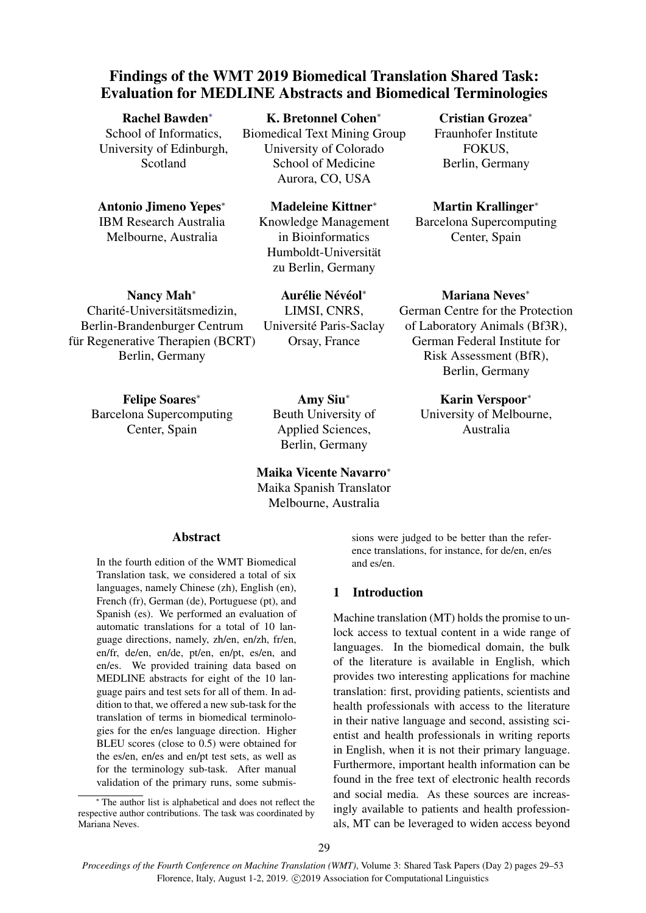# Findings of the WMT 2019 Biomedical Translation Shared Task: Evaluation for MEDLINE Abstracts and Biomedical Terminologies

Rachel Bawden<sup>∗</sup> School of Informatics, University of Edinburgh, Scotland

Antonio Jimeno Yepes<sup>∗</sup> IBM Research Australia Melbourne, Australia

K. Bretonnel Cohen<sup>∗</sup> Biomedical Text Mining Group University of Colorado School of Medicine

Aurora, CO, USA

Madeleine Kittner<sup>∗</sup> Knowledge Management in Bioinformatics Humboldt-Universitat¨ zu Berlin, Germany

Nancy Mah<sup>∗</sup>

Charité-Universitätsmedizin, Berlin-Brandenburger Centrum für Regenerative Therapien (BCRT) Berlin, Germany

> Felipe Soares<sup>∗</sup> Barcelona Supercomputing Center, Spain

LIMSI, CNRS, Université Paris-Saclay Orsay, France

Aurélie Névéol\*

Amy Siu<sup>∗</sup> Beuth University of Applied Sciences, Berlin, Germany

Maika Vicente Navarro<sup>∗</sup> Maika Spanish Translator Melbourne, Australia

#### Abstract

In the fourth edition of the WMT Biomedical Translation task, we considered a total of six languages, namely Chinese (zh), English (en), French (fr), German (de), Portuguese (pt), and Spanish (es). We performed an evaluation of automatic translations for a total of 10 language directions, namely, zh/en, en/zh, fr/en, en/fr, de/en, en/de, pt/en, en/pt, es/en, and en/es. We provided training data based on MEDLINE abstracts for eight of the 10 language pairs and test sets for all of them. In addition to that, we offered a new sub-task for the translation of terms in biomedical terminologies for the en/es language direction. Higher BLEU scores (close to 0.5) were obtained for the es/en, en/es and en/pt test sets, as well as for the terminology sub-task. After manual validation of the primary runs, some submis-

The author list is alphabetical and does not reflect the respective author contributions. The task was coordinated by Mariana Neves.

University of Melbourne, Australia

Cristian Grozea<sup>∗</sup> Fraunhofer Institute FOKUS, Berlin, Germany

Martin Krallinger<sup>∗</sup> Barcelona Supercomputing Center, Spain

Mariana Neves<sup>∗</sup> German Centre for the Protection of Laboratory Animals (Bf3R), German Federal Institute for Risk Assessment (BfR), Berlin, Germany

Karin Verspoor<sup>∗</sup>

sions were judged to be better than the reference translations, for instance, for de/en, en/es and es/en.

# 1 Introduction

Machine translation (MT) holds the promise to unlock access to textual content in a wide range of languages. In the biomedical domain, the bulk of the literature is available in English, which provides two interesting applications for machine translation: first, providing patients, scientists and health professionals with access to the literature in their native language and second, assisting scientist and health professionals in writing reports in English, when it is not their primary language. Furthermore, important health information can be found in the free text of electronic health records and social media. As these sources are increasingly available to patients and health professionals, MT can be leveraged to widen access beyond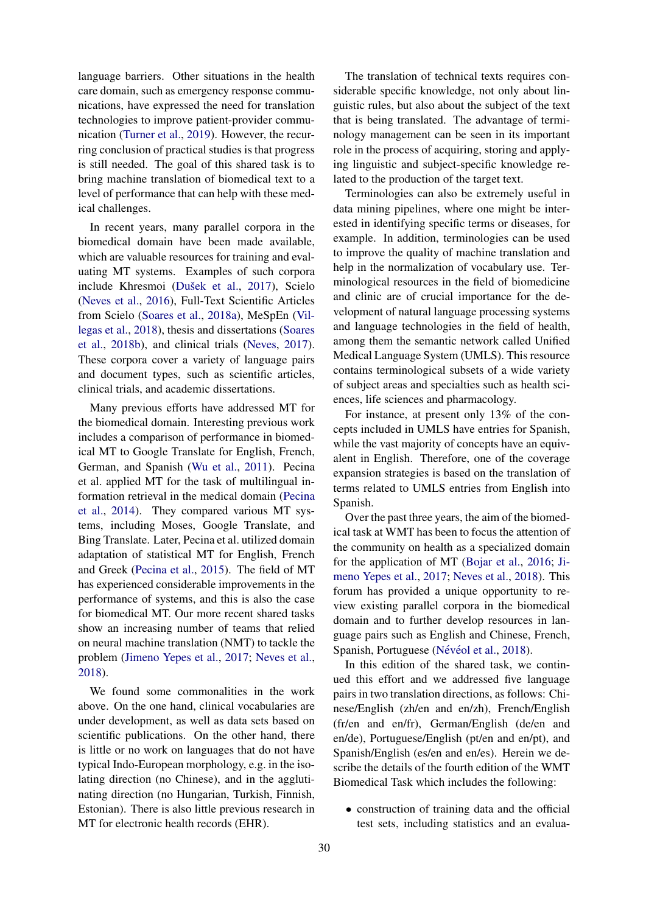language barriers. Other situations in the health care domain, such as emergency response communications, have expressed the need for translation technologies to improve patient-provider communication [\(Turner et al.,](#page-24-0) [2019\)](#page-24-0). However, the recurring conclusion of practical studies is that progress is still needed. The goal of this shared task is to bring machine translation of biomedical text to a level of performance that can help with these medical challenges.

In recent years, many parallel corpora in the biomedical domain have been made available, which are valuable resources for training and evaluating MT systems. Examples of such corpora include Khresmoi (Dušek et al., [2017\)](#page-23-0), Scielo [\(Neves et al.,](#page-24-1) [2016\)](#page-24-1), Full-Text Scientific Articles from Scielo [\(Soares et al.,](#page-24-2) [2018a\)](#page-24-2), MeSpEn [\(Vil](#page-25-0)[legas et al.,](#page-25-0) [2018\)](#page-25-0), thesis and dissertations [\(Soares](#page-24-3) [et al.,](#page-24-3) [2018b\)](#page-24-3), and clinical trials [\(Neves,](#page-24-4) [2017\)](#page-24-4). These corpora cover a variety of language pairs and document types, such as scientific articles, clinical trials, and academic dissertations.

Many previous efforts have addressed MT for the biomedical domain. Interesting previous work includes a comparison of performance in biomedical MT to Google Translate for English, French, German, and Spanish [\(Wu et al.,](#page-25-1) [2011\)](#page-25-1). Pecina et al. applied MT for the task of multilingual information retrieval in the medical domain [\(Pecina](#page-24-5) [et al.,](#page-24-5) [2014\)](#page-24-5). They compared various MT systems, including Moses, Google Translate, and Bing Translate. Later, Pecina et al. utilized domain adaptation of statistical MT for English, French and Greek [\(Pecina et al.,](#page-24-6) [2015\)](#page-24-6). The field of MT has experienced considerable improvements in the performance of systems, and this is also the case for biomedical MT. Our more recent shared tasks show an increasing number of teams that relied on neural machine translation (NMT) to tackle the problem [\(Jimeno Yepes et al.,](#page-23-1) [2017;](#page-23-1) [Neves et al.,](#page-24-7) [2018\)](#page-24-7).

We found some commonalities in the work above. On the one hand, clinical vocabularies are under development, as well as data sets based on scientific publications. On the other hand, there is little or no work on languages that do not have typical Indo-European morphology, e.g. in the isolating direction (no Chinese), and in the agglutinating direction (no Hungarian, Turkish, Finnish, Estonian). There is also little previous research in MT for electronic health records (EHR).

The translation of technical texts requires considerable specific knowledge, not only about linguistic rules, but also about the subject of the text that is being translated. The advantage of terminology management can be seen in its important role in the process of acquiring, storing and applying linguistic and subject-specific knowledge related to the production of the target text.

Terminologies can also be extremely useful in data mining pipelines, where one might be interested in identifying specific terms or diseases, for example. In addition, terminologies can be used to improve the quality of machine translation and help in the normalization of vocabulary use. Terminological resources in the field of biomedicine and clinic are of crucial importance for the development of natural language processing systems and language technologies in the field of health, among them the semantic network called Unified Medical Language System (UMLS). This resource contains terminological subsets of a wide variety of subject areas and specialties such as health sciences, life sciences and pharmacology.

For instance, at present only 13% of the concepts included in UMLS have entries for Spanish, while the vast majority of concepts have an equivalent in English. Therefore, one of the coverage expansion strategies is based on the translation of terms related to UMLS entries from English into Spanish.

Over the past three years, the aim of the biomedical task at WMT has been to focus the attention of the community on health as a specialized domain for the application of MT [\(Bojar et al.,](#page-23-2) [2016;](#page-23-2) [Ji](#page-23-1)[meno Yepes et al.,](#page-23-1) [2017;](#page-23-1) [Neves et al.,](#page-24-7) [2018\)](#page-24-7). This forum has provided a unique opportunity to review existing parallel corpora in the biomedical domain and to further develop resources in language pairs such as English and Chinese, French, Spanish, Portuguese (Névéol et al., [2018\)](#page-24-8).

In this edition of the shared task, we continued this effort and we addressed five language pairs in two translation directions, as follows: Chinese/English (zh/en and en/zh), French/English (fr/en and en/fr), German/English (de/en and en/de), Portuguese/English (pt/en and en/pt), and Spanish/English (es/en and en/es). Herein we describe the details of the fourth edition of the WMT Biomedical Task which includes the following:

• construction of training data and the official test sets, including statistics and an evalua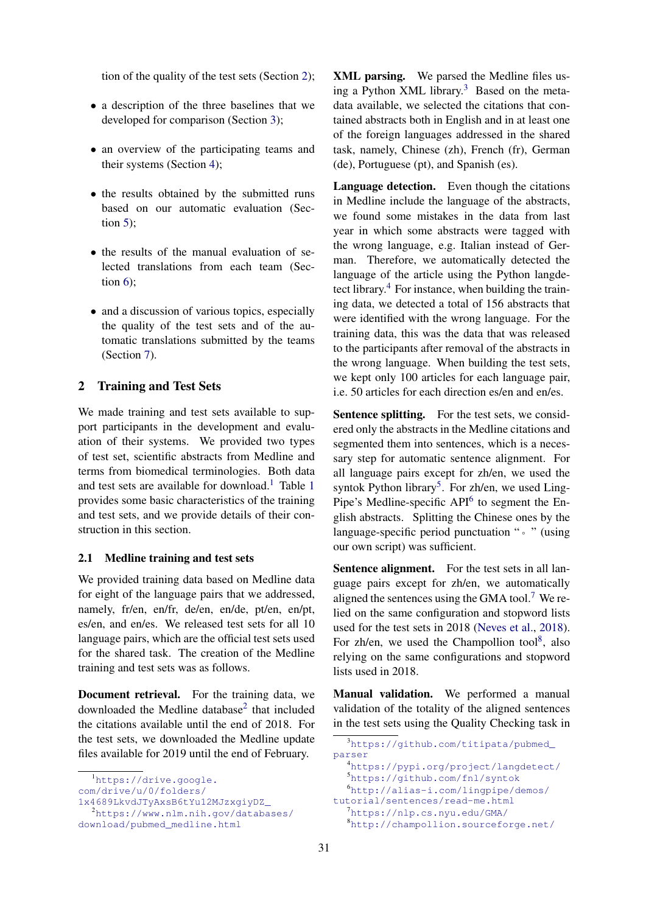tion of the quality of the test sets (Section [2\)](#page-3-0);

- a description of the three baselines that we developed for comparison (Section [3\)](#page-4-0);
- an overview of the participating teams and their systems (Section [4\)](#page-5-0);
- the results obtained by the submitted runs based on our automatic evaluation (Section  $5$ );
- the results of the manual evaluation of selected translations from each team (Section  $6$ ):
- and a discussion of various topics, especially the quality of the test sets and of the automatic translations submitted by the teams (Section [7\)](#page-13-0).

# <span id="page-3-0"></span>2 Training and Test Sets

We made training and test sets available to support participants in the development and evaluation of their systems. We provided two types of test set, scientific abstracts from Medline and terms from biomedical terminologies. Both data and test sets are available for download.<sup>[1](#page-4-1)</sup> Table 1 provides some basic characteristics of the training and test sets, and we provide details of their construction in this section.

#### 2.1 Medline training and test sets

We provided training data based on Medline data for eight of the language pairs that we addressed, namely, fr/en, en/fr, de/en, en/de, pt/en, en/pt, es/en, and en/es. We released test sets for all 10 language pairs, which are the official test sets used for the shared task. The creation of the Medline training and test sets was as follows.

Document retrieval. For the training data, we downloaded the Medline database<sup>[2](#page-3-2)</sup> that included the citations available until the end of 2018. For the test sets, we downloaded the Medline update files available for 2019 until the end of February.

<span id="page-3-1"></span><sup>1</sup>[https://drive.google.](https://drive.google.com/drive/u/0/folders/1x4689LkvdJTyAxsB6tYu12MJzxgiyDZ_)

<span id="page-3-2"></span>[1x4689LkvdJTyAxsB6tYu12MJzxgiyDZ\\_](https://drive.google.com/drive/u/0/folders/1x4689LkvdJTyAxsB6tYu12MJzxgiyDZ_) <sup>2</sup>[https://www.nlm.nih.gov/databases/](https://www.nlm.nih.gov/databases/download/pubmed_medline.html) [download/pubmed\\_medline.html](https://www.nlm.nih.gov/databases/download/pubmed_medline.html)

XML parsing. We parsed the Medline files using a Python XML library.[3](#page-3-3) Based on the metadata available, we selected the citations that contained abstracts both in English and in at least one of the foreign languages addressed in the shared task, namely, Chinese (zh), French (fr), German (de), Portuguese (pt), and Spanish (es).

Language detection. Even though the citations in Medline include the language of the abstracts, we found some mistakes in the data from last year in which some abstracts were tagged with the wrong language, e.g. Italian instead of German. Therefore, we automatically detected the language of the article using the Python langdetect library. $4$  For instance, when building the training data, we detected a total of 156 abstracts that were identified with the wrong language. For the training data, this was the data that was released to the participants after removal of the abstracts in the wrong language. When building the test sets, we kept only 100 articles for each language pair, i.e. 50 articles for each direction es/en and en/es.

Sentence splitting. For the test sets, we considered only the abstracts in the Medline citations and segmented them into sentences, which is a necessary step for automatic sentence alignment. For all language pairs except for zh/en, we used the syntok Python library<sup>[5](#page-3-5)</sup>. For zh/en, we used Ling-Pipe's Medline-specific API<sup>[6](#page-3-6)</sup> to segment the English abstracts. Splitting the Chinese ones by the language-specific period punctuation "。" (using our own script) was sufficient.

Sentence alignment. For the test sets in all language pairs except for zh/en, we automatically aligned the sentences using the GMA tool.<sup>[7](#page-3-7)</sup> We relied on the same configuration and stopword lists used for the test sets in 2018 [\(Neves et al.,](#page-24-7) [2018\)](#page-24-7). For zh/en, we used the Champollion tool<sup>[8](#page-3-8)</sup>, also relying on the same configurations and stopword lists used in 2018.

Manual validation. We performed a manual validation of the totality of the aligned sentences in the test sets using the Quality Checking task in

<span id="page-3-8"></span><span id="page-3-7"></span><span id="page-3-6"></span><span id="page-3-5"></span><span id="page-3-4"></span><https://pypi.org/project/langdetect/> <https://github.com/fnl/syntok> [http://alias-i.com/lingpipe/demos/](http://alias-i.com/lingpipe/demos/tutorial/sentences/read-me.html) [tutorial/sentences/read-me.html](http://alias-i.com/lingpipe/demos/tutorial/sentences/read-me.html) <https://nlp.cs.nyu.edu/GMA/> <http://champollion.sourceforge.net/>

[com/drive/u/0/folders/](https://drive.google.com/drive/u/0/folders/1x4689LkvdJTyAxsB6tYu12MJzxgiyDZ_)

<span id="page-3-3"></span><sup>3</sup>[https://github.com/titipata/pubmed\\_](https://github.com/titipata/pubmed_parser) [parser](https://github.com/titipata/pubmed_parser)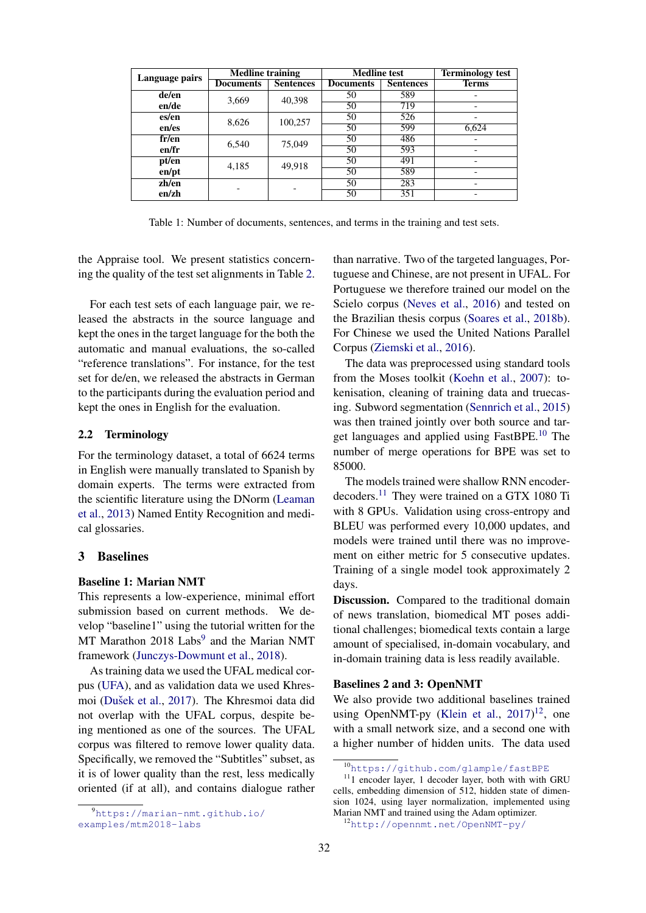<span id="page-4-1"></span>

| Language pairs | <b>Medline training</b> |                  | <b>Medline</b> test |                  | <b>Terminology test</b>  |
|----------------|-------------------------|------------------|---------------------|------------------|--------------------------|
|                | <b>Documents</b>        | <b>Sentences</b> | <b>Documents</b>    | <b>Sentences</b> | Terms                    |
| de/en          | 3,669                   | 40.398           | 50                  | 589              |                          |
| en/de          |                         |                  | 50                  | 719              | $\overline{\phantom{0}}$ |
| es/en          | 8,626                   | 100,257          | 50                  | 526              | $\overline{\phantom{0}}$ |
| en/es          |                         |                  | 50                  | 599              | 6,624                    |
| fr/en          | 6,540                   | 75,049           | 50                  | 486              | $\overline{\phantom{0}}$ |
| en/fr          |                         |                  | 50                  | 593              | $\overline{\phantom{0}}$ |
| pt/en          | 4,185                   | 49,918           | 50                  | 491              | $\overline{\phantom{0}}$ |
| en/pt          |                         |                  | 50                  | 589              | $\overline{\phantom{0}}$ |
| zh/en          |                         |                  | 50                  | 283              | $\overline{\phantom{0}}$ |
| enzh           |                         |                  | 50                  | 351              | $\overline{\phantom{0}}$ |

Table 1: Number of documents, sentences, and terms in the training and test sets.

the Appraise tool. We present statistics concerning the quality of the test set alignments in Table [2.](#page-5-1)

For each test sets of each language pair, we released the abstracts in the source language and kept the ones in the target language for the both the automatic and manual evaluations, the so-called "reference translations". For instance, for the test set for de/en, we released the abstracts in German to the participants during the evaluation period and kept the ones in English for the evaluation.

## 2.2 Terminology

For the terminology dataset, a total of 6624 terms in English were manually translated to Spanish by domain experts. The terms were extracted from the scientific literature using the DNorm [\(Leaman](#page-24-9) [et al.,](#page-24-9) [2013\)](#page-24-9) Named Entity Recognition and medical glossaries.

# <span id="page-4-0"></span>3 Baselines

#### Baseline 1: Marian NMT

This represents a low-experience, minimal effort submission based on current methods. We develop "baseline1" using the tutorial written for the MT Marathon 2018 Labs<sup>[9](#page-4-2)</sup> and the Marian NMT framework [\(Junczys-Dowmunt et al.,](#page-23-3) [2018\)](#page-23-3).

As training data we used the UFAL medical corpus [\(UFA\)](#page-23-4), and as validation data we used Khres-moi (Dušek et al., [2017\)](#page-23-0). The Khresmoi data did not overlap with the UFAL corpus, despite being mentioned as one of the sources. The UFAL corpus was filtered to remove lower quality data. Specifically, we removed the "Subtitles" subset, as it is of lower quality than the rest, less medically oriented (if at all), and contains dialogue rather

than narrative. Two of the targeted languages, Portuguese and Chinese, are not present in UFAL. For Portuguese we therefore trained our model on the Scielo corpus [\(Neves et al.,](#page-24-1) [2016\)](#page-24-1) and tested on the Brazilian thesis corpus [\(Soares et al.,](#page-24-3) [2018b\)](#page-24-3). For Chinese we used the United Nations Parallel Corpus [\(Ziemski et al.,](#page-25-2) [2016\)](#page-25-2).

The data was preprocessed using standard tools from the Moses toolkit [\(Koehn et al.,](#page-23-5) [2007\)](#page-23-5): tokenisation, cleaning of training data and truecasing. Subword segmentation [\(Sennrich et al.,](#page-24-10) [2015\)](#page-24-10) was then trained jointly over both source and target languages and applied using FastBPE.[10](#page-4-3) The number of merge operations for BPE was set to 85000.

The models trained were shallow RNN encoder-decoders.<sup>[11](#page-4-4)</sup> They were trained on a GTX 1080 Ti with 8 GPUs. Validation using cross-entropy and BLEU was performed every 10,000 updates, and models were trained until there was no improvement on either metric for 5 consecutive updates. Training of a single model took approximately 2 days.

Discussion. Compared to the traditional domain of news translation, biomedical MT poses additional challenges; biomedical texts contain a large amount of specialised, in-domain vocabulary, and in-domain training data is less readily available.

#### Baselines 2 and 3: OpenNMT

We also provide two additional baselines trained using OpenNMT-py [\(Klein et al.,](#page-23-6)  $2017$ )<sup>[12](#page-4-5)</sup>, one with a small network size, and a second one with a higher number of hidden units. The data used

<span id="page-4-2"></span><sup>9</sup>[https://marian-nmt.github.io/](https://marian-nmt.github.io/examples/mtm2018-labs) [examples/mtm2018-labs](https://marian-nmt.github.io/examples/mtm2018-labs)

<span id="page-4-4"></span><span id="page-4-3"></span><sup>10</sup><https://github.com/glample/fastBPE>

 $11$ <sub>1</sub> encoder layer, 1 decoder layer, both with with GRU cells, embedding dimension of 512, hidden state of dimension 1024, using layer normalization, implemented using Marian NMT and trained using the Adam optimizer.

<span id="page-4-5"></span><sup>12</sup><http://opennmt.net/OpenNMT-py/>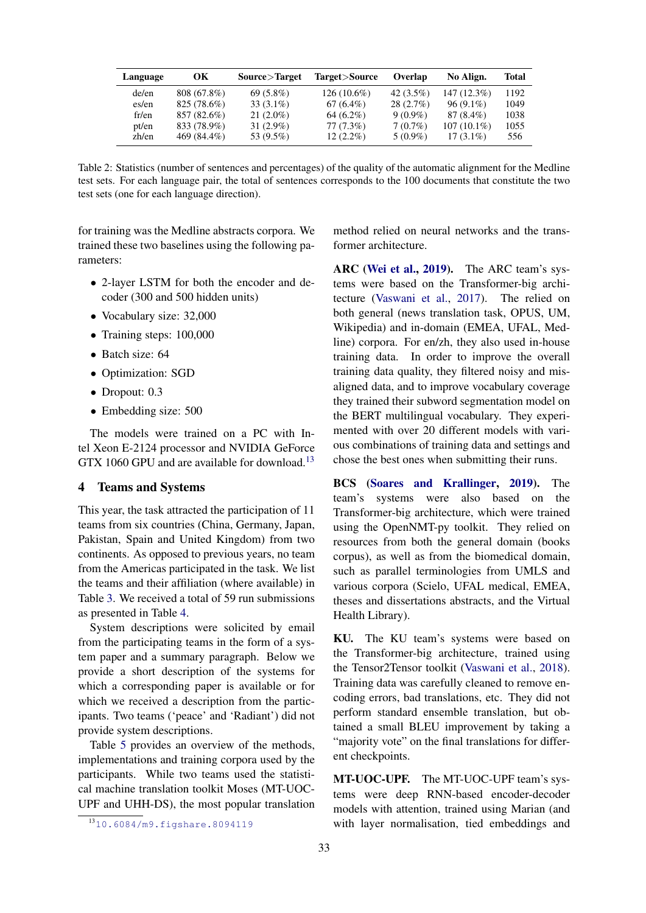<span id="page-5-1"></span>

| Language | OК          | Source>Target | Target>Source | Overlap      | No Align.     | <b>Total</b> |
|----------|-------------|---------------|---------------|--------------|---------------|--------------|
| de/en    | 808 (67.8%) | $69(5.8\%)$   | $126(10.6\%)$ | 42 $(3.5\%)$ | 147 (12.3%)   | 1192         |
| es/en    | 825 (78.6%) | $33(3.1\%)$   | $67(6.4\%)$   | $28(2.7\%)$  | $96(9.1\%)$   | 1049         |
| fr/en    | 857 (82.6%) | $21(2.0\%)$   | $64(6.2\%)$   | $9(0.9\%)$   | 87 (8.4%)     | 1038         |
| pt/en    | 833 (78.9%) | $31(2.9\%)$   | $77(7.3\%)$   | $7(0.7\%)$   | $107(10.1\%)$ | 1055         |
| zh/en    | 469 (84.4%) | 53 (9.5%)     | $12(2.2\%)$   | $5(0.9\%)$   | $17(3.1\%)$   | 556          |

Table 2: Statistics (number of sentences and percentages) of the quality of the automatic alignment for the Medline test sets. For each language pair, the total of sentences corresponds to the 100 documents that constitute the two test sets (one for each language direction).

for training was the Medline abstracts corpora. We trained these two baselines using the following parameters:

- 2-layer LSTM for both the encoder and decoder (300 and 500 hidden units)
- Vocabulary size: 32,000
- Training steps: 100,000
- Batch size: 64
- Optimization: SGD
- Dropout: 0.3
- Embedding size: 500

The models were trained on a PC with Intel Xeon E-2124 processor and NVIDIA GeForce GTX 1060 GPU and are available for download.<sup>[13](#page-5-2)</sup>

#### <span id="page-5-0"></span>4 Teams and Systems

This year, the task attracted the participation of 11 teams from six countries (China, Germany, Japan, Pakistan, Spain and United Kingdom) from two continents. As opposed to previous years, no team from the Americas participated in the task. We list the teams and their affiliation (where available) in Table [3.](#page-6-0) We received a total of 59 run submissions as presented in Table [4.](#page-6-1)

System descriptions were solicited by email from the participating teams in the form of a system paper and a summary paragraph. Below we provide a short description of the systems for which a corresponding paper is available or for which we received a description from the participants. Two teams ('peace' and 'Radiant') did not provide system descriptions.

Table [5](#page-6-2) provides an overview of the methods, implementations and training corpora used by the participants. While two teams used the statistical machine translation toolkit Moses (MT-UOC-UPF and UHH-DS), the most popular translation

method relied on neural networks and the transformer architecture.

ARC [\(Wei et al.,](#page-25-3) [2019\)](#page-25-3). The ARC team's systems were based on the Transformer-big architecture [\(Vaswani et al.,](#page-25-4) [2017\)](#page-25-4). The relied on both general (news translation task, OPUS, UM, Wikipedia) and in-domain (EMEA, UFAL, Medline) corpora. For en/zh, they also used in-house training data. In order to improve the overall training data quality, they filtered noisy and misaligned data, and to improve vocabulary coverage they trained their subword segmentation model on the BERT multilingual vocabulary. They experimented with over 20 different models with various combinations of training data and settings and chose the best ones when submitting their runs.

BCS [\(Soares and Krallinger,](#page-24-11) [2019\)](#page-24-11). The team's systems were also based on the Transformer-big architecture, which were trained using the OpenNMT-py toolkit. They relied on resources from both the general domain (books corpus), as well as from the biomedical domain, such as parallel terminologies from UMLS and various corpora (Scielo, UFAL medical, EMEA, theses and dissertations abstracts, and the Virtual Health Library).

KU. The KU team's systems were based on the Transformer-big architecture, trained using the Tensor2Tensor toolkit [\(Vaswani et al.,](#page-24-12) [2018\)](#page-24-12). Training data was carefully cleaned to remove encoding errors, bad translations, etc. They did not perform standard ensemble translation, but obtained a small BLEU improvement by taking a "majority vote" on the final translations for different checkpoints.

MT-UOC-UPF. The MT-UOC-UPF team's systems were deep RNN-based encoder-decoder models with attention, trained using Marian (and with layer normalisation, tied embeddings and

<span id="page-5-2"></span><sup>13</sup><10.6084/m9.figshare.8094119>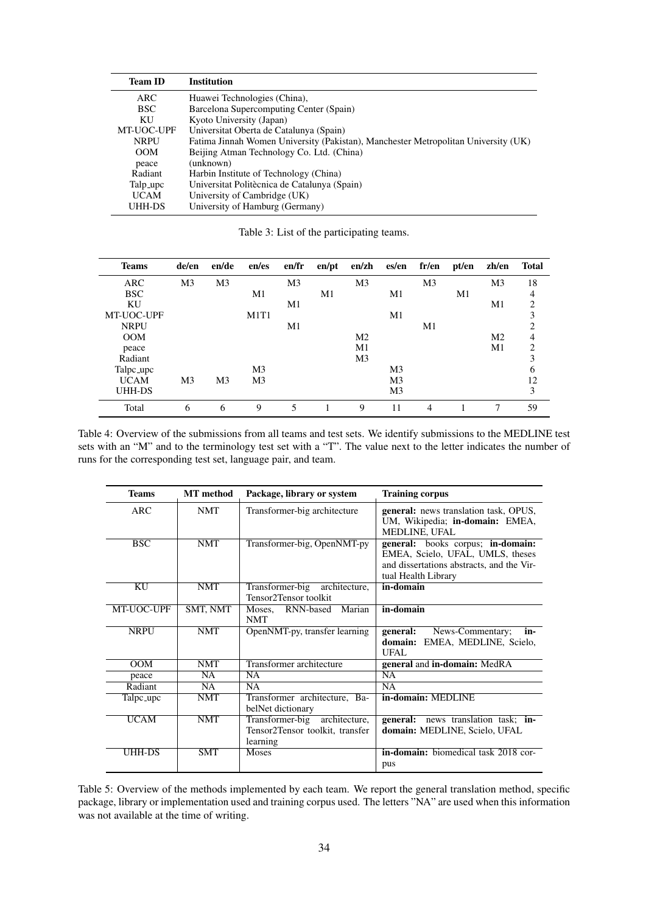<span id="page-6-0"></span>

| <b>Team ID</b> | <b>Institution</b>                                                                 |
|----------------|------------------------------------------------------------------------------------|
| ARC            | Huawei Technologies (China),                                                       |
| <b>BSC</b>     | Barcelona Supercomputing Center (Spain)                                            |
| KU             | Kyoto University (Japan)                                                           |
| MT-UOC-UPF     | Universitat Oberta de Catalunya (Spain)                                            |
| <b>NRPU</b>    | Fatima Jinnah Women University (Pakistan), Manchester Metropolitan University (UK) |
| <b>OOM</b>     | Beijing Atman Technology Co. Ltd. (China)                                          |
| peace          | (unknown)                                                                          |
| Radiant        | Harbin Institute of Technology (China)                                             |
| Talp_upc       | Universitat Politècnica de Catalunya (Spain)                                       |
| <b>UCAM</b>    | University of Cambridge (UK)                                                       |
| UHH-DS         | University of Hamburg (Germany)                                                    |
|                |                                                                                    |

<span id="page-6-1"></span>

| <b>Teams</b> | de/en          | en/de          | en/es          | en/fr          | en/pt | en/zh          | es/en          | fr/en          | pt/en | zh/en          | <b>Total</b>   |
|--------------|----------------|----------------|----------------|----------------|-------|----------------|----------------|----------------|-------|----------------|----------------|
| ARC          | M <sub>3</sub> | M <sub>3</sub> |                | M <sub>3</sub> |       | M <sub>3</sub> |                | M <sub>3</sub> |       | M <sub>3</sub> | 18             |
| <b>BSC</b>   |                |                | M1             |                | M1    |                | M1             |                | M1    |                | 4              |
| KU           |                |                |                | M1             |       |                |                |                |       | M1             | 2              |
| MT-UOC-UPF   |                |                | M1T1           |                |       |                | M1             |                |       |                | 3              |
| <b>NRPU</b>  |                |                |                | M1             |       |                |                | M1             |       |                | $\overline{2}$ |
| <b>OOM</b>   |                |                |                |                |       | M <sub>2</sub> |                |                |       | M <sub>2</sub> | $\overline{4}$ |
| peace        |                |                |                |                |       | M1             |                |                |       | M1             | 2              |
| Radiant      |                |                |                |                |       | M <sub>3</sub> |                |                |       |                | 3              |
| Talpc_upc    |                |                | M <sub>3</sub> |                |       |                | M <sub>3</sub> |                |       |                | 6              |
| <b>UCAM</b>  | M <sub>3</sub> | M <sub>3</sub> | M <sub>3</sub> |                |       |                | M <sub>3</sub> |                |       |                | 12             |
| UHH-DS       |                |                |                |                |       |                | M <sub>3</sub> |                |       |                | 3              |
| Total        | 6              | 6              | 9              | 5              |       | 9              | 11             | 4              |       | 7              | 59             |

Table 3: List of the participating teams.

Table 4: Overview of the submissions from all teams and test sets. We identify submissions to the MEDLINE test sets with an "M" and to the terminology test set with a "T". The value next to the letter indicates the number of runs for the corresponding test set, language pair, and team.

<span id="page-6-2"></span>

| <b>Teams</b>             | <b>MT</b> method | Package, library or system                                                   | <b>Training corpus</b>                                                                                                                    |
|--------------------------|------------------|------------------------------------------------------------------------------|-------------------------------------------------------------------------------------------------------------------------------------------|
| <b>ARC</b>               | <b>NMT</b>       | Transformer-big architecture                                                 | <b>general:</b> news translation task, OPUS,<br>UM, Wikipedia; in-domain: EMEA,<br>MEDLINE, UFAL                                          |
| <b>BSC</b>               | <b>NMT</b>       | Transformer-big, OpenNMT-py                                                  | general: books corpus; in-domain:<br>EMEA, Scielo, UFAL, UMLS, theses<br>and dissertations abstracts, and the Vir-<br>tual Health Library |
| $\overline{\mathrm{KU}}$ | <b>NMT</b>       | Transformer-big<br>architecture,<br>Tensor2Tensor toolkit                    | in-domain                                                                                                                                 |
| MT-UOC-UPF               | SMT, NMT         | Marian<br>Moses, RNN-based<br><b>NMT</b>                                     | in-domain                                                                                                                                 |
| <b>NRPU</b>              | <b>NMT</b>       | OpenNMT-py, transfer learning                                                | general:<br>News-Commentary;<br>in-<br>domain: EMEA, MEDLINE, Scielo,<br>UFAL.                                                            |
| <b>OOM</b>               | <b>NMT</b>       | Transformer architecture                                                     | general and in-domain: MedRA                                                                                                              |
| peace                    | <b>NA</b>        | <b>NA</b>                                                                    | <b>NA</b>                                                                                                                                 |
| Radiant                  | NA.              | <b>NA</b>                                                                    | <b>NA</b>                                                                                                                                 |
| Talpc_upc                | <b>NMT</b>       | Transformer architecture, Ba-<br>belNet dictionary                           | in-domain: MEDLINE                                                                                                                        |
| <b>UCAM</b>              | <b>NMT</b>       | Transformer-big architecture,<br>Tensor2Tensor toolkit, transfer<br>learning | general: news translation task; in-<br>domain: MEDLINE, Scielo, UFAL                                                                      |
| UHH-DS                   | <b>SMT</b>       | <b>Moses</b>                                                                 | in-domain: biomedical task 2018 cor-<br>pus                                                                                               |

Table 5: Overview of the methods implemented by each team. We report the general translation method, specific package, library or implementation used and training corpus used. The letters "NA" are used when this information was not available at the time of writing.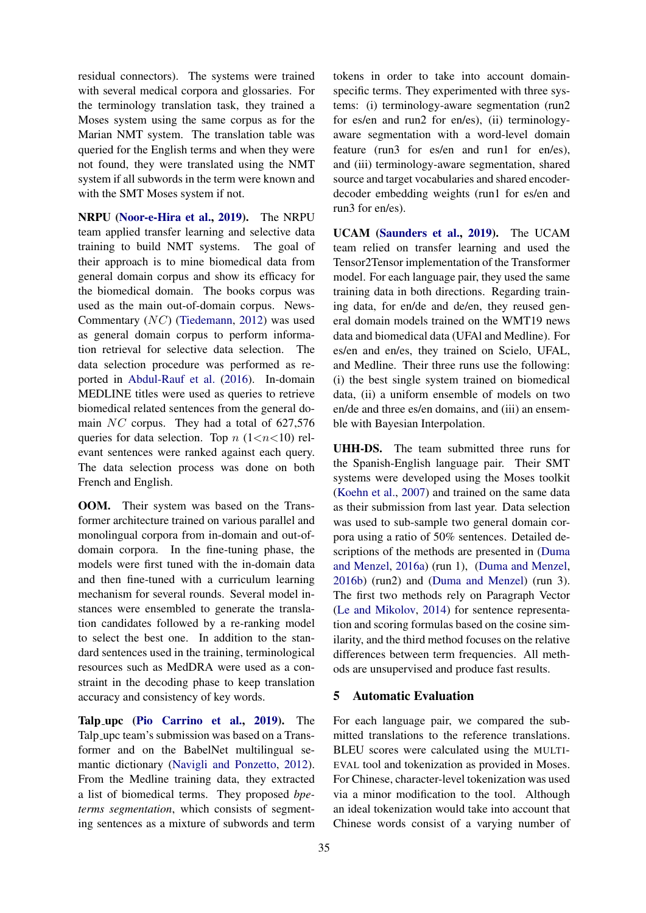residual connectors). The systems were trained with several medical corpora and glossaries. For the terminology translation task, they trained a Moses system using the same corpus as for the Marian NMT system. The translation table was queried for the English terms and when they were not found, they were translated using the NMT system if all subwords in the term were known and with the SMT Moses system if not.

NRPU [\(Noor-e-Hira et al.,](#page-24-13) [2019\)](#page-24-13). The NRPU team applied transfer learning and selective data training to build NMT systems. The goal of their approach is to mine biomedical data from general domain corpus and show its efficacy for the biomedical domain. The books corpus was used as the main out-of-domain corpus. News-Commentary (NC) [\(Tiedemann,](#page-24-14) [2012\)](#page-24-14) was used as general domain corpus to perform information retrieval for selective data selection. The data selection procedure was performed as reported in [Abdul-Rauf et al.](#page-23-7) [\(2016\)](#page-23-7). In-domain MEDLINE titles were used as queries to retrieve biomedical related sentences from the general domain  $NC$  corpus. They had a total of 627,576 queries for data selection. Top  $n$  (1<n>> $n$ (1<n>10) relevant sentences were ranked against each query. The data selection process was done on both French and English.

OOM. Their system was based on the Transformer architecture trained on various parallel and monolingual corpora from in-domain and out-ofdomain corpora. In the fine-tuning phase, the models were first tuned with the in-domain data and then fine-tuned with a curriculum learning mechanism for several rounds. Several model instances were ensembled to generate the translation candidates followed by a re-ranking model to select the best one. In addition to the standard sentences used in the training, terminological resources such as MedDRA were used as a constraint in the decoding phase to keep translation accuracy and consistency of key words.

Talp upc [\(Pio Carrino et al.,](#page-24-15) [2019\)](#page-24-15). The Talp upc team's submission was based on a Transformer and on the BabelNet multilingual semantic dictionary [\(Navigli and Ponzetto,](#page-24-16) [2012\)](#page-24-16). From the Medline training data, they extracted a list of biomedical terms. They proposed *bpeterms segmentation*, which consists of segmenting sentences as a mixture of subwords and term tokens in order to take into account domainspecific terms. They experimented with three systems: (i) terminology-aware segmentation (run2 for es/en and run2 for en/es), (ii) terminologyaware segmentation with a word-level domain feature (run3 for es/en and run1 for en/es), and (iii) terminology-aware segmentation, shared source and target vocabularies and shared encoderdecoder embedding weights (run1 for es/en and run3 for en/es).

UCAM [\(Saunders et al.,](#page-24-17) [2019\)](#page-24-17). The UCAM team relied on transfer learning and used the Tensor2Tensor implementation of the Transformer model. For each language pair, they used the same training data in both directions. Regarding training data, for en/de and de/en, they reused general domain models trained on the WMT19 news data and biomedical data (UFAl and Medline). For es/en and en/es, they trained on Scielo, UFAL, and Medline. Their three runs use the following: (i) the best single system trained on biomedical data, (ii) a uniform ensemble of models on two en/de and three es/en domains, and (iii) an ensemble with Bayesian Interpolation.

UHH-DS. The team submitted three runs for the Spanish-English language pair. Their SMT systems were developed using the Moses toolkit [\(Koehn et al.,](#page-23-5) [2007\)](#page-23-5) and trained on the same data as their submission from last year. Data selection was used to sub-sample two general domain corpora using a ratio of 50% sentences. Detailed descriptions of the methods are presented in [\(Duma](#page-23-8) [and Menzel,](#page-23-8) [2016a\)](#page-23-8) (run 1), [\(Duma and Menzel,](#page-23-9) [2016b\)](#page-23-9) (run2) and [\(Duma and Menzel\)](#page-23-10) (run 3). The first two methods rely on Paragraph Vector [\(Le and Mikolov,](#page-23-11) [2014\)](#page-23-11) for sentence representation and scoring formulas based on the cosine similarity, and the third method focuses on the relative differences between term frequencies. All methods are unsupervised and produce fast results.

## <span id="page-7-0"></span>5 Automatic Evaluation

For each language pair, we compared the submitted translations to the reference translations. BLEU scores were calculated using the MULTI-EVAL tool and tokenization as provided in Moses. For Chinese, character-level tokenization was used via a minor modification to the tool. Although an ideal tokenization would take into account that Chinese words consist of a varying number of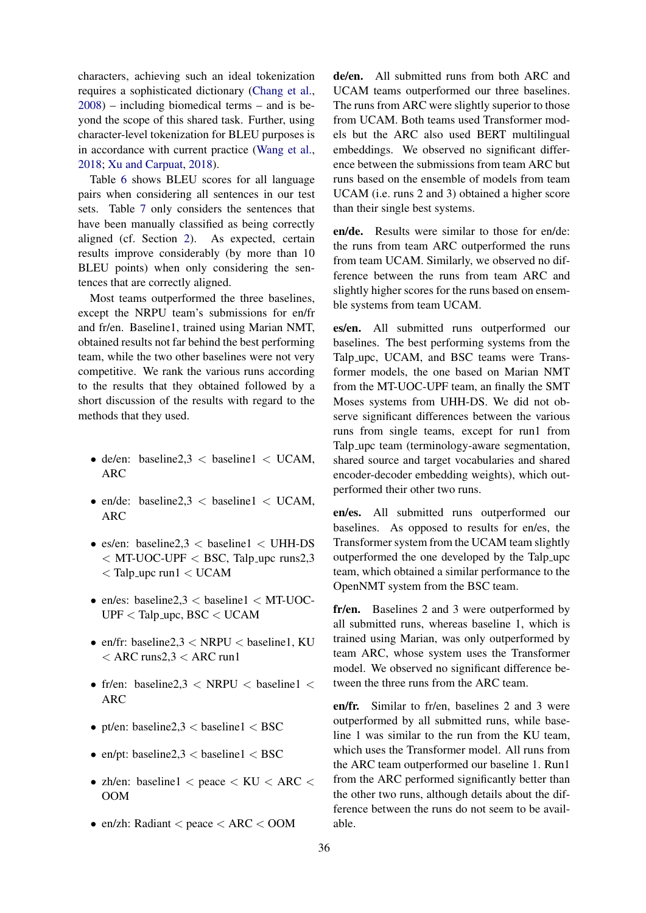characters, achieving such an ideal tokenization requires a sophisticated dictionary [\(Chang et al.,](#page-23-12) [2008\)](#page-23-12) – including biomedical terms – and is beyond the scope of this shared task. Further, using character-level tokenization for BLEU purposes is in accordance with current practice [\(Wang et al.,](#page-25-5) [2018;](#page-25-5) [Xu and Carpuat,](#page-25-6) [2018\)](#page-25-6).

Table [6](#page-10-0) shows BLEU scores for all language pairs when considering all sentences in our test sets. Table [7](#page-11-0) only considers the sentences that have been manually classified as being correctly aligned (cf. Section [2\)](#page-3-0). As expected, certain results improve considerably (by more than 10 BLEU points) when only considering the sentences that are correctly aligned.

Most teams outperformed the three baselines, except the NRPU team's submissions for en/fr and fr/en. Baseline1, trained using Marian NMT, obtained results not far behind the best performing team, while the two other baselines were not very competitive. We rank the various runs according to the results that they obtained followed by a short discussion of the results with regard to the methods that they used.

- de/en: baseline2,3  $<$  baseline1  $<$  UCAM, ARC
- en/de: baseline2,3  $<$  baseline1  $<$  UCAM, ARC
- es/en: baseline2,3  $<$  baseline1  $<$  UHH-DS  $<$  MT-UOC-UPF  $<$  BSC, Talp upc runs2,3  $<$  Talp\_upc run1  $<$  UCAM
- en/es: baseline2,3  $<$  baseline1  $<$  MT-UOC-UPF < Talp upc, BSC < UCAM
- en/fr: baseline2,3  $\langle$  NRPU  $\langle$  baseline1, KU  $<$  ARC runs2,3  $<$  ARC run1
- fr/en: baseline2,3  $\lt$  NRPU  $\lt$  baseline1  $\lt$ ARC
- pt/en: baseline2,3  $<$  baseline1  $<$  BSC
- en/pt: baseline2,3  $<$  baseline1  $<$  BSC
- zh/en: baseline1  $\langle$  peace  $\langle$  KU  $\langle$  ARC  $\langle$ OOM
- en/zh: Radiant < peace < ARC < OOM

de/en. All submitted runs from both ARC and UCAM teams outperformed our three baselines. The runs from ARC were slightly superior to those from UCAM. Both teams used Transformer models but the ARC also used BERT multilingual embeddings. We observed no significant difference between the submissions from team ARC but runs based on the ensemble of models from team UCAM (i.e. runs 2 and 3) obtained a higher score than their single best systems.

en/de. Results were similar to those for en/de: the runs from team ARC outperformed the runs from team UCAM. Similarly, we observed no difference between the runs from team ARC and slightly higher scores for the runs based on ensemble systems from team UCAM.

es/en. All submitted runs outperformed our baselines. The best performing systems from the Talp upc, UCAM, and BSC teams were Transformer models, the one based on Marian NMT from the MT-UOC-UPF team, an finally the SMT Moses systems from UHH-DS. We did not observe significant differences between the various runs from single teams, except for run1 from Talp upc team (terminology-aware segmentation, shared source and target vocabularies and shared encoder-decoder embedding weights), which outperformed their other two runs.

en/es. All submitted runs outperformed our baselines. As opposed to results for en/es, the Transformer system from the UCAM team slightly outperformed the one developed by the Talp upc team, which obtained a similar performance to the OpenNMT system from the BSC team.

fr/en. Baselines 2 and 3 were outperformed by all submitted runs, whereas baseline 1, which is trained using Marian, was only outperformed by team ARC, whose system uses the Transformer model. We observed no significant difference between the three runs from the ARC team.

en/fr. Similar to fr/en, baselines 2 and 3 were outperformed by all submitted runs, while baseline 1 was similar to the run from the KU team, which uses the Transformer model. All runs from the ARC team outperformed our baseline 1. Run1 from the ARC performed significantly better than the other two runs, although details about the difference between the runs do not seem to be available.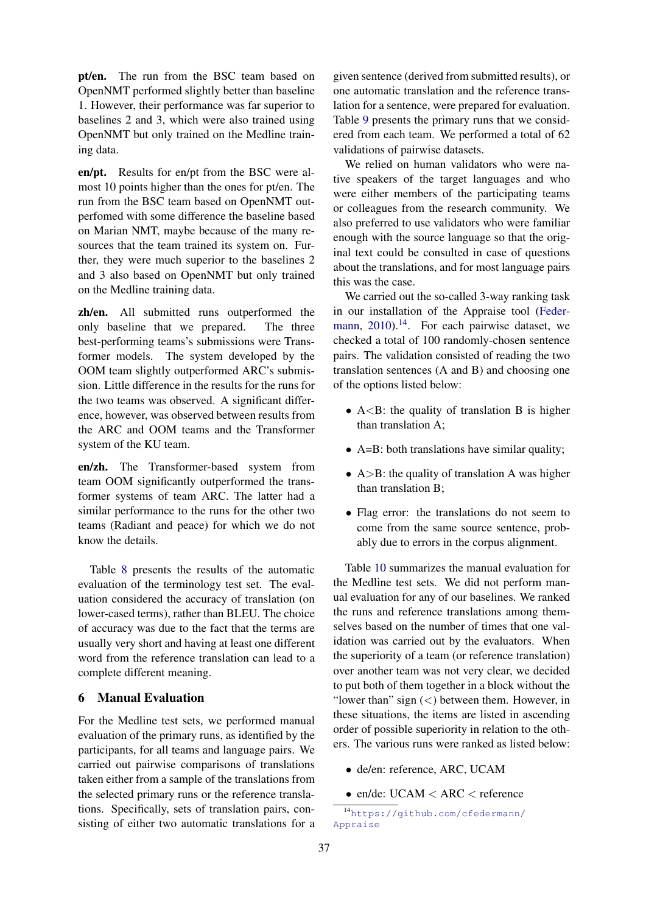pt/en. The run from the BSC team based on OpenNMT performed slightly better than baseline 1. However, their performance was far superior to baselines 2 and 3, which were also trained using OpenNMT but only trained on the Medline training data.

en/pt. Results for en/pt from the BSC were almost 10 points higher than the ones for pt/en. The run from the BSC team based on OpenNMT outperfomed with some difference the baseline based on Marian NMT, maybe because of the many resources that the team trained its system on. Further, they were much superior to the baselines 2 and 3 also based on OpenNMT but only trained on the Medline training data.

zh/en. All submitted runs outperformed the only baseline that we prepared. The three best-performing teams's submissions were Transformer models. The system developed by the OOM team slightly outperformed ARC's submission. Little difference in the results for the runs for the two teams was observed. A significant difference, however, was observed between results from the ARC and OOM teams and the Transformer system of the KU team.

en/zh. The Transformer-based system from team OOM significantly outperformed the transformer systems of team ARC. The latter had a similar performance to the runs for the other two teams (Radiant and peace) for which we do not know the details.

Table [8](#page-12-0) presents the results of the automatic evaluation of the terminology test set. The evaluation considered the accuracy of translation (on lower-cased terms), rather than BLEU. The choice of accuracy was due to the fact that the terms are usually very short and having at least one different word from the reference translation can lead to a complete different meaning.

# <span id="page-9-0"></span>6 Manual Evaluation

For the Medline test sets, we performed manual evaluation of the primary runs, as identified by the participants, for all teams and language pairs. We carried out pairwise comparisons of translations taken either from a sample of the translations from the selected primary runs or the reference translations. Specifically, sets of translation pairs, consisting of either two automatic translations for a

given sentence (derived from submitted results), or one automatic translation and the reference translation for a sentence, were prepared for evaluation. Table [9](#page-13-1) presents the primary runs that we considered from each team. We performed a total of 62 validations of pairwise datasets.

We relied on human validators who were native speakers of the target languages and who were either members of the participating teams or colleagues from the research community. We also preferred to use validators who were familiar enough with the source language so that the original text could be consulted in case of questions about the translations, and for most language pairs this was the case.

We carried out the so-called 3-way ranking task in our installation of the Appraise tool [\(Feder](#page-23-13)[mann,](#page-23-13)  $2010$ .<sup>[14](#page-9-1)</sup>. For each pairwise dataset, we checked a total of 100 randomly-chosen sentence pairs. The validation consisted of reading the two translation sentences (A and B) and choosing one of the options listed below:

- $A < B$ : the quality of translation B is higher than translation A;
- A=B: both translations have similar quality;
- $A > B$ : the quality of translation A was higher than translation B;
- Flag error: the translations do not seem to come from the same source sentence, probably due to errors in the corpus alignment.

Table [10](#page-14-0) summarizes the manual evaluation for the Medline test sets. We did not perform manual evaluation for any of our baselines. We ranked the runs and reference translations among themselves based on the number of times that one validation was carried out by the evaluators. When the superiority of a team (or reference translation) over another team was not very clear, we decided to put both of them together in a block without the "lower than" sign  $(<)$  between them. However, in these situations, the items are listed in ascending order of possible superiority in relation to the others. The various runs were ranked as listed below:

- de/en: reference, ARC, UCAM
- en/de:  $UCAM < ARC <$  reference

<span id="page-9-1"></span><sup>14</sup>[https://github.com/cfedermann/](https://github.com/cfedermann/Appraise) [Appraise](https://github.com/cfedermann/Appraise)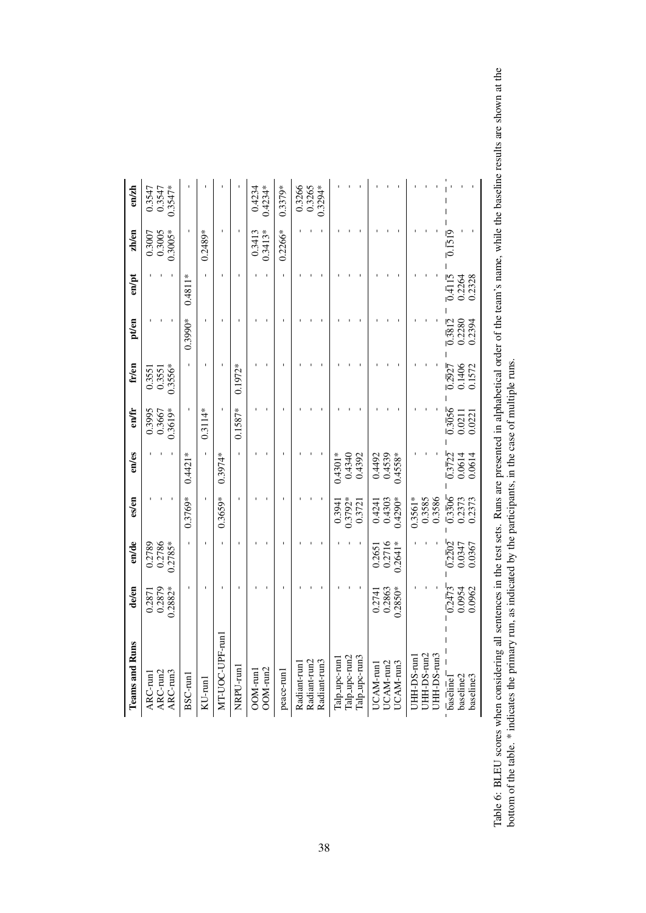<span id="page-10-0"></span>

| <b>Teams and Runs</b>                           | de/en                         | en/de                                   | es/en                                   | $e$ n/ $e$ s                            | en/fr                         | fr/en                                       | pt/en                      | en/pt                                                        | zh/en                         | $\epsilon$ n/zh               |
|-------------------------------------------------|-------------------------------|-----------------------------------------|-----------------------------------------|-----------------------------------------|-------------------------------|---------------------------------------------|----------------------------|--------------------------------------------------------------|-------------------------------|-------------------------------|
| ARC-run2<br>$ARC$ -run3<br>ARC-run              | 0.2879<br>$0.2882*$<br>0.2871 | 0.2786<br>$0.2785*$<br>0.2789           |                                         |                                         | 0.3995<br>0.3667<br>$0.3619*$ | $0.3556*$<br>0.3551<br>0.3551               |                            |                                                              | 0.3005<br>$0.3005*$<br>0.3007 | $0.3547*$<br>0.3547<br>0.3547 |
| BSC-runl                                        |                               |                                         | $0.3769*$                               | $0.4421*$                               |                               |                                             | $0.3990*$                  | $0.4811*$                                                    |                               |                               |
| $KU$ -run $l$                                   |                               |                                         |                                         |                                         | $0.3114*$                     |                                             |                            |                                                              | $0.2489*$                     |                               |
| MT-UOC-UPF-run1                                 |                               |                                         | $0.3659*$                               | $0.3974*$                               |                               |                                             |                            |                                                              |                               |                               |
| NRPU-run1                                       |                               |                                         |                                         |                                         | $0.1587*$                     | $0.1972*$                                   |                            |                                                              |                               |                               |
| OOM-run2<br>OOM-run                             |                               |                                         |                                         |                                         |                               |                                             |                            |                                                              | $0.3413*$<br>0.3413           | $0.4234*$<br>0.4234           |
| peace-run1                                      |                               |                                         |                                         |                                         |                               |                                             |                            |                                                              | $0.2266*$                     | $0.3379*$                     |
| Radiant-run2<br>Radiant-run3<br>Radiant-run1    |                               |                                         |                                         |                                         |                               |                                             |                            |                                                              |                               | 0.3266<br>0.3294*<br>0.3265   |
|                                                 |                               |                                         |                                         |                                         |                               |                                             |                            |                                                              |                               |                               |
| Talp_upc-run2<br>Talp_upc-run3<br>Talp_upc-run1 |                               |                                         | $0.3792*$<br>0.3721<br>0.3941           | 0.4340<br>0.4392<br>$0.4301*$           |                               |                                             |                            |                                                              |                               |                               |
| UCAM-run2<br>UCAM-run3<br>UCAM-run              | 0.2863<br>$0.2850*$<br>0.2741 | 0.2716<br>$0.2641*$<br>0.2651           | 0.4303<br>$0.4290*$<br>0.4241           | 0.4492<br>0.4539<br>$0.4558*$           |                               |                                             |                            |                                                              |                               |                               |
| JHH-DS-run2<br>JHH-DS-run3<br>UHH-DS-run1       |                               |                                         | 0.3585<br>0.3561*<br>0.3586             |                                         |                               |                                             |                            |                                                              |                               |                               |
| baseline2<br>baseline3<br>baselinel             | 0.2473<br>0.0954<br>0.0962    | $\overline{0.2202}$<br>0.0347<br>0.0367 | $\overline{0.3306}$<br>0.2373<br>0.2373 | $\overline{0.3722}$<br>0.0614<br>0.0614 | 0.3056<br>0.0211<br>0.0221    | $\frac{0.2927}{0.2927}$<br>0.1406<br>0.1572 | 0.3812<br>0.2280<br>0.2394 | $\overline{0}4\overline{1}1\overline{5}$<br>0.2264<br>0.2328 | 0.1519                        |                               |

Table 6: BLEU scores when considering all sentences in the test sets. Runs are presented in alphabetical order of the team's name, while the baseline results are shown at the bottom of the table. \* indicates the primary ru Table 6: BLEU scores when considering all sentences in the test sets. Runs are presented in alphabetical order of the team's name, while the baseline results are shown at the bottom of the table. \* indicates the primary run, as indicated by the participants, in the case of multiple runs.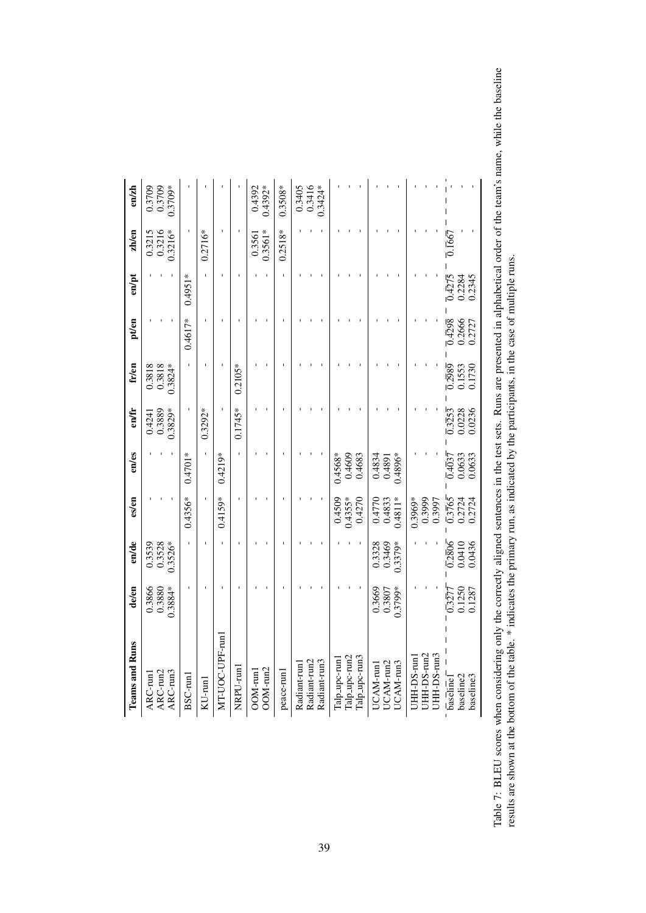<span id="page-11-0"></span>

| <b>Teams and Runs</b>                           | de/en                         | en/de                         | es/en                                   | $en$ /es                                | en/fr                                   | fr/en                                   | pt/en                               | en/pt                                  | zh/en                              | $\epsilon$ n/zh             |
|-------------------------------------------------|-------------------------------|-------------------------------|-----------------------------------------|-----------------------------------------|-----------------------------------------|-----------------------------------------|-------------------------------------|----------------------------------------|------------------------------------|-----------------------------|
| ARC-run2<br>$ARC$ -run3<br>ARC-run              | 0.3866<br>$0.3884*$<br>0.3880 | 0.3528<br>$0.3526*$<br>0.3539 |                                         |                                         | 0.3889<br>$0.3829*$<br>0.4241           | 0.3818<br>0.3818<br>$0.3824*$           |                                     |                                        | 0.3215<br>0.3216<br>$0.3216*$      | 0.3709*<br>0.3709<br>0.3709 |
| BSC-run1                                        |                               |                               | $0.4356*$                               | $0.4701*$                               |                                         |                                         | 0.4617*                             | $0.4951*$                              |                                    |                             |
| $KU$ -run $1$                                   |                               |                               |                                         |                                         | $0.3292*$                               |                                         |                                     |                                        | $0.2716*$                          |                             |
| MT-UOC-UPF-run1                                 |                               |                               | $0.4159*$                               | $0.4219*$                               |                                         |                                         |                                     |                                        |                                    |                             |
| NRPU-run1                                       |                               |                               |                                         |                                         | $0.1745*$                               | $0.2105*$                               |                                     |                                        |                                    |                             |
| OOM-run2<br>OOM-run                             |                               |                               |                                         |                                         |                                         |                                         |                                     |                                        | $0.3561*$<br>0.3561                | $0.4392*$<br>0.4392         |
| peace-run1                                      |                               |                               |                                         |                                         |                                         |                                         |                                     |                                        | $0.2518*$                          | $0.3508*$                   |
| Radiant-run2<br>Radiant-run3<br>Radiant-run l   |                               |                               |                                         |                                         |                                         |                                         |                                     |                                        |                                    | 0.3405<br>0.3416<br>1.3424* |
| Talp_upc-run2<br>Talp_upc-run3<br>Talp_upc-run. |                               |                               | $0.4355*$<br>0.4270<br>0.4509           | 0.4609<br>0.4683<br>$0.4568*$           |                                         |                                         |                                     |                                        |                                    |                             |
| UCAM-run2<br>UCAM-run3<br>UCAM-run1             | 0.3669<br>0.3807<br>$0.3799*$ | 0.3328<br>0.3469<br>$0.3379*$ | $0.4811*$<br>0.4770<br>0.4833           | 0.4834<br>$0.4896*$<br>0.4891           |                                         |                                         |                                     |                                        |                                    |                             |
| JHH-DS-run2<br>JHH-DS-run3<br>JHH-DS-run1       |                               |                               | 0.3999<br>$0.3969*$<br>0.3997           |                                         |                                         |                                         |                                     |                                        |                                    |                             |
| baseline2<br>baseline3<br><b>baseline</b>       | 0.1250<br>0.3277<br>0.1287    | 0.2806<br>0.0410<br>0.0436    | $\overline{0.3765}$<br>0.2724<br>0.2724 | $\overline{0.4037}$<br>0.0633<br>0.0633 | $\overline{0.3253}$<br>0.0228<br>0.0236 | $\overline{0.2989}$<br>0.1553<br>0.1730 | $\sqrt{0.4298}$<br>0.2666<br>0.2727 | $\frac{1}{0.4275}$<br>0.2345<br>0.2284 | $\overline{0}$ . $\overline{1667}$ |                             |

Table 7: BLEU scores when considering only the correctly aligned sentences in the test sets. Runs are presented in alphabetical order of the team's name, while the baseline results are shown at the bottom of the table. \* i Table 7: BLEU scores when considering only the correctly aligned sentences in the test sets. Runs are presented in alphabetical order of the team's name, while the baseline results are shown at the bottom of the table. \* indicates the primary run, as indicated by the participants, in the case of multiple runs.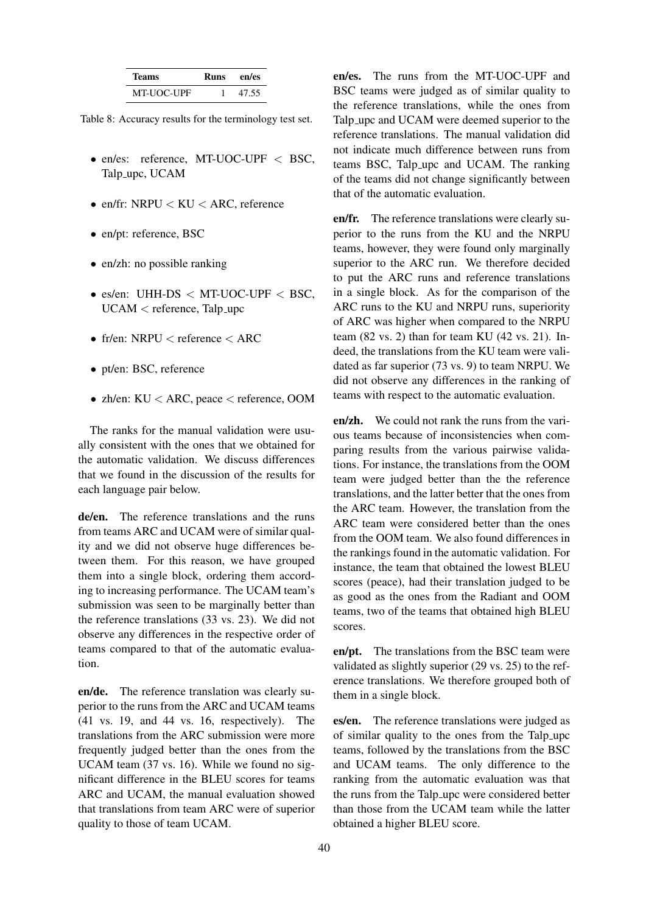<span id="page-12-0"></span>

| 'l'eams    | Runs | en/es |
|------------|------|-------|
| MT-UOC-UPF |      | 47.55 |

Table 8: Accuracy results for the terminology test set.

- en/es: reference, MT-UOC-UPF < BSC, Talp upc, UCAM
- en/fr:  $NRPU < KU < ARC$ , reference
- en/pt: reference, BSC
- en/zh: no possible ranking
- es/en: UHH-DS  $\langle$  MT-UOC-UPF  $\langle$  BSC, UCAM < reference, Talp\_upc
- fr/en:  $NRPU <$  reference  $<$  ARC
- pt/en: BSC, reference
- zh/en:  $KU < ARC$ , peace  $\lt$  reference, OOM

The ranks for the manual validation were usually consistent with the ones that we obtained for the automatic validation. We discuss differences that we found in the discussion of the results for each language pair below.

de/en. The reference translations and the runs from teams ARC and UCAM were of similar quality and we did not observe huge differences between them. For this reason, we have grouped them into a single block, ordering them according to increasing performance. The UCAM team's submission was seen to be marginally better than the reference translations (33 vs. 23). We did not observe any differences in the respective order of teams compared to that of the automatic evaluation.

en/de. The reference translation was clearly superior to the runs from the ARC and UCAM teams (41 vs. 19, and 44 vs. 16, respectively). The translations from the ARC submission were more frequently judged better than the ones from the UCAM team (37 vs. 16). While we found no significant difference in the BLEU scores for teams ARC and UCAM, the manual evaluation showed that translations from team ARC were of superior quality to those of team UCAM.

en/es. The runs from the MT-UOC-UPF and BSC teams were judged as of similar quality to the reference translations, while the ones from Talp\_upc and UCAM were deemed superior to the reference translations. The manual validation did not indicate much difference between runs from teams BSC, Talp upc and UCAM. The ranking of the teams did not change significantly between that of the automatic evaluation.

en/fr. The reference translations were clearly superior to the runs from the KU and the NRPU teams, however, they were found only marginally superior to the ARC run. We therefore decided to put the ARC runs and reference translations in a single block. As for the comparison of the ARC runs to the KU and NRPU runs, superiority of ARC was higher when compared to the NRPU team (82 vs. 2) than for team KU (42 vs. 21). Indeed, the translations from the KU team were validated as far superior (73 vs. 9) to team NRPU. We did not observe any differences in the ranking of teams with respect to the automatic evaluation.

en/zh. We could not rank the runs from the various teams because of inconsistencies when comparing results from the various pairwise validations. For instance, the translations from the OOM team were judged better than the the reference translations, and the latter better that the ones from the ARC team. However, the translation from the ARC team were considered better than the ones from the OOM team. We also found differences in the rankings found in the automatic validation. For instance, the team that obtained the lowest BLEU scores (peace), had their translation judged to be as good as the ones from the Radiant and OOM teams, two of the teams that obtained high BLEU scores.

en/pt. The translations from the BSC team were validated as slightly superior (29 vs. 25) to the reference translations. We therefore grouped both of them in a single block.

es/en. The reference translations were judged as of similar quality to the ones from the Talp upc teams, followed by the translations from the BSC and UCAM teams. The only difference to the ranking from the automatic evaluation was that the runs from the Talp upc were considered better than those from the UCAM team while the latter obtained a higher BLEU score.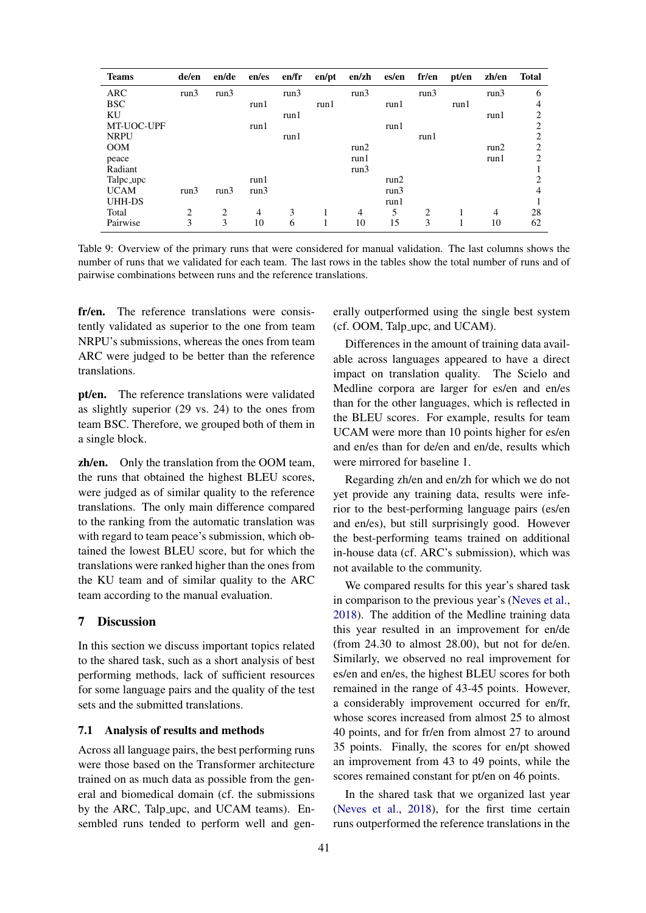<span id="page-13-1"></span>

| <b>Teams</b> | de/en | en/de          | en/es          | en/fr | en/pt | enzh | es/en | fr/en | pt/en | zh/en | <b>Total</b>   |
|--------------|-------|----------------|----------------|-------|-------|------|-------|-------|-------|-------|----------------|
| <b>ARC</b>   | run3  | run3           |                | run3  |       | run3 |       | run3  |       | run3  | 6              |
| <b>BSC</b>   |       |                | run1           |       | run1  |      | run1  |       | run1  |       | 4              |
| KU           |       |                |                | run1  |       |      |       |       |       | run1  | 2              |
| MT-UOC-UPF   |       |                | run1           |       |       |      | run1  |       |       |       | $\overline{c}$ |
| <b>NRPU</b>  |       |                |                | run1  |       |      |       | run1  |       |       | 2              |
| <b>OOM</b>   |       |                |                |       |       | run2 |       |       |       | run2  | 2              |
| peace        |       |                |                |       |       | run1 |       |       |       | run1  | 2              |
| Radiant      |       |                |                |       |       | run3 |       |       |       |       |                |
| Talpc_upc    |       |                | run1           |       |       |      | run2  |       |       |       | 2              |
| <b>UCAM</b>  | run3  | run3           | run3           |       |       |      | run3  |       |       |       | $\overline{4}$ |
| UHH-DS       |       |                |                |       |       |      | run1  |       |       |       |                |
| Total        | 2     | $\overline{2}$ | $\overline{4}$ | 3     |       | 4    | 5     | 2     |       | 4     | 28             |
| Pairwise     | 3     | 3              | 10             | 6     |       | 10   | 15    | 3     |       | 10    | 62             |

Table 9: Overview of the primary runs that were considered for manual validation. The last columns shows the number of runs that we validated for each team. The last rows in the tables show the total number of runs and of pairwise combinations between runs and the reference translations.

fr/en. The reference translations were consistently validated as superior to the one from team NRPU's submissions, whereas the ones from team ARC were judged to be better than the reference translations.

pt/en. The reference translations were validated as slightly superior (29 vs. 24) to the ones from team BSC. Therefore, we grouped both of them in a single block.

zh/en. Only the translation from the OOM team, the runs that obtained the highest BLEU scores, were judged as of similar quality to the reference translations. The only main difference compared to the ranking from the automatic translation was with regard to team peace's submission, which obtained the lowest BLEU score, but for which the translations were ranked higher than the ones from the KU team and of similar quality to the ARC team according to the manual evaluation.

# <span id="page-13-0"></span>7 Discussion

In this section we discuss important topics related to the shared task, such as a short analysis of best performing methods, lack of sufficient resources for some language pairs and the quality of the test sets and the submitted translations.

#### 7.1 Analysis of results and methods

Across all language pairs, the best performing runs were those based on the Transformer architecture trained on as much data as possible from the general and biomedical domain (cf. the submissions by the ARC, Talp upc, and UCAM teams). Ensembled runs tended to perform well and generally outperformed using the single best system (cf. OOM, Talp upc, and UCAM).

Differences in the amount of training data available across languages appeared to have a direct impact on translation quality. The Scielo and Medline corpora are larger for es/en and en/es than for the other languages, which is reflected in the BLEU scores. For example, results for team UCAM were more than 10 points higher for es/en and en/es than for de/en and en/de, results which were mirrored for baseline 1.

Regarding zh/en and en/zh for which we do not yet provide any training data, results were inferior to the best-performing language pairs (es/en and en/es), but still surprisingly good. However the best-performing teams trained on additional in-house data (cf. ARC's submission), which was not available to the community.

We compared results for this year's shared task in comparison to the previous year's [\(Neves et al.,](#page-24-7) [2018\)](#page-24-7). The addition of the Medline training data this year resulted in an improvement for en/de (from 24.30 to almost 28.00), but not for de/en. Similarly, we observed no real improvement for es/en and en/es, the highest BLEU scores for both remained in the range of 43-45 points. However, a considerably improvement occurred for en/fr, whose scores increased from almost 25 to almost 40 points, and for fr/en from almost 27 to around 35 points. Finally, the scores for en/pt showed an improvement from 43 to 49 points, while the scores remained constant for pt/en on 46 points.

In the shared task that we organized last year [\(Neves et al.,](#page-24-7) [2018\)](#page-24-7), for the first time certain runs outperformed the reference translations in the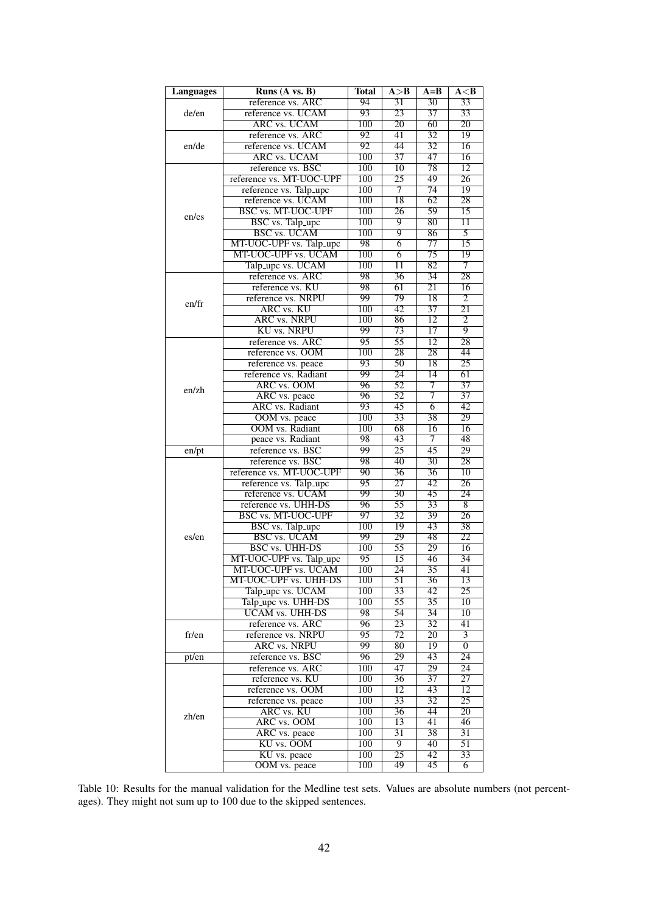<span id="page-14-0"></span>

| <b>Languages</b> | Runs $(A \text{ vs. } B)$                      | <b>Total</b>            | A > B                             | $A = B$               | A < B                 |
|------------------|------------------------------------------------|-------------------------|-----------------------------------|-----------------------|-----------------------|
|                  | reference vs. ARC                              | 94                      | $\overline{31}$                   | $\overline{30}$       | 33                    |
| de/en            | reference vs. UCAM                             | 93                      | 23                                | 37                    | 33                    |
|                  | <b>ARC vs. UCAM</b>                            | 100                     | $\overline{20}$                   | 60                    | $\overline{20}$       |
|                  | reference vs. ARC                              | $\overline{92}$         | 41                                | $\overline{32}$       | $\overline{19}$       |
| en/de            | reference vs. UCAM                             | 92                      | 44                                | $\overline{32}$       | 16                    |
|                  | <b>ARC</b> vs. UCAM                            | $\overline{100}$        | $\overline{37}$                   | 47                    | $\overline{16}$       |
|                  | reference vs. BSC                              | 100                     | 10                                | 78                    | 12                    |
|                  | reference vs. MT-UOC-UPF                       | 100                     | $\overline{25}$                   | 49                    | 26                    |
|                  | reference vs. Talp_upc                         | 100                     | 7                                 | 74                    | 19                    |
|                  | reference vs. UCAM                             | 100                     | 18                                | 62                    | $\overline{28}$       |
| en/es            | <b>BSC vs. MT-UOC-UPF</b>                      | $\overline{100}$        | $\overline{26}$                   | 59                    | 15                    |
|                  | <b>BSC</b> vs. Talp_upc                        | 100                     | 9                                 | 80                    | 11                    |
|                  | BSC vs. UCAM                                   | 100                     | $\overline{9}$                    | 86                    | $\overline{5}$        |
|                  | MT-UOC-UPF vs. Talp_upc<br>MT-UOC-UPF vs. UCAM | 98<br>100               | 6<br>$\overline{6}$               | 77<br>$\overline{75}$ | 15<br>$\overline{19}$ |
|                  | Talp_upc vs. UCAM                              | 100                     | 11                                | $\overline{82}$       | 7                     |
|                  | reference vs. ARC                              | 98                      | 36                                | 34                    | $\overline{28}$       |
|                  | reference vs. KU                               | 98                      | 61                                | $\overline{21}$       | 16                    |
|                  | reference vs. NRPU                             | 99                      | 79                                | 18                    | $\overline{2}$        |
| en/fr            | <b>ARC</b> vs. KU                              | 100                     | $\overline{42}$                   | $\overline{37}$       | $\overline{21}$       |
|                  | <b>ARC</b> vs. NRPU                            | $\overline{100}$        | 86                                | $\overline{12}$       | $\overline{2}$        |
|                  | <b>KU</b> vs. NRPU                             | 99                      | 73                                | $\overline{17}$       | $\overline{9}$        |
|                  | reference vs. ARC                              | $\overline{95}$         | $\overline{55}$                   | $\overline{12}$       | $\overline{28}$       |
|                  | reference vs. OOM                              | 100                     | 28                                | 28                    | 44                    |
|                  | reference vs. peace                            | 93                      | $\overline{50}$                   | $\overline{18}$       | $\overline{25}$       |
|                  | reference vs. Radiant                          | 99                      | 24                                | $\overline{14}$       | 61                    |
| en/zh            | ARC vs. OOM                                    | 96                      | $\overline{52}$                   | 7                     | $\overline{37}$       |
|                  | ARC vs. peace                                  | 96                      | $\overline{52}$                   | $\overline{7}$        | $\overline{37}$       |
|                  | <b>ARC</b> vs. Radiant                         | 93                      | 45                                | 6                     | 42                    |
|                  | OOM vs. peace                                  | 100                     | $\overline{33}$                   | $\overline{38}$       | 29                    |
|                  | <b>OOM</b> vs. Radiant                         | 100<br>98               | 68<br>43                          | 16<br>7               | 16<br>48              |
|                  | peace vs. Radiant<br>reference vs. BSC         | 99                      | $\overline{25}$                   | $\overline{45}$       | 29                    |
| en/pt            | reference vs. BSC                              | 98                      | 40                                | $\overline{30}$       | 28                    |
|                  | reference vs. MT-UOC-UPF                       | $\overline{90}$         | $\overline{36}$                   | $\overline{36}$       | $\overline{10}$       |
|                  | reference vs. Talp_upc                         | 95                      | 27                                | 42                    | 26                    |
|                  | reference vs. UCAM                             | 99                      | $\overline{30}$                   | 45                    | $\overline{24}$       |
|                  | reference vs. UHH-DS                           | 96                      | $\overline{55}$                   | $\overline{33}$       | $\overline{8}$        |
|                  | <b>BSC vs. MT-UOC-UPF</b>                      | 97                      | $\overline{32}$                   | 39                    | 26                    |
|                  | <b>BSC</b> vs. Talp_upc                        | $\overline{100}$        | 19                                | 43                    | $\overline{38}$       |
| es/en            | <b>BSC</b> vs. UCAM                            | 99                      | 29                                | 48                    | 22                    |
|                  | <b>BSC vs. UHH-DS</b>                          | 100                     | 55                                | 29                    | 16                    |
|                  | MT-UOC-UPF vs. Talp_upc                        | 95                      | 15                                | 46                    | 34                    |
|                  | MT-UOC-UPF vs. UCAM                            | 100                     | 24                                | $\overline{35}$       | 41                    |
|                  | <b>MT-UOC-UPF vs. UHH-DS</b>                   | 100                     | 51                                | 36<br>42              | 13<br>25              |
|                  | Talp_upc vs. UCAM<br>Talp_upc vs. UHH-DS       | 100<br>$\overline{100}$ | 33<br>55                          | $\overline{35}$       | $\overline{10}$       |
|                  | <b>UCAM vs. UHH-DS</b>                         | 98                      | 54                                | 34                    | 10                    |
|                  | reference vs. ARC                              | 96                      | 23                                | $\overline{32}$       | $\overline{41}$       |
| fr/en            | reference vs. NRPU                             | $\overline{95}$         | $\overline{72}$                   | $\overline{20}$       | $\overline{3}$        |
|                  | <b>ARC vs. NRPU</b>                            | 99                      | 80                                | 19                    | 0                     |
| pt/en            | reference vs. BSC                              | 96                      | 29                                | 43                    | $\overline{24}$       |
|                  | reference vs. ARC                              | 100                     | 47                                | 29                    | 24                    |
|                  | reference vs. KU                               | 100                     | $\overline{36}$                   | 37                    | $\overline{27}$       |
|                  | reference vs. OOM                              | 100                     | $\overline{12}$                   | 43                    | $\overline{12}$       |
|                  | reference vs. peace                            | 100                     | 33                                | 32                    | 25                    |
| zh/en            | <b>ARC</b> vs. KU                              | 100                     | $\overline{36}$                   | 44                    | $\overline{20}$       |
|                  | ARC vs. OOM                                    | 100                     | 13                                | 41                    | 46                    |
|                  | ARC vs. peace                                  | 100                     | $\overline{31}$                   | $\overline{38}$       | $\overline{31}$       |
|                  | KU vs. OOM                                     | 100                     | $\overline{9}$<br>$\overline{25}$ | 40<br>42              | $\overline{51}$       |
|                  | KU vs. peace<br>OOM vs. peace                  | 100<br>100              | 49                                | 45                    | 33<br>$\overline{6}$  |
|                  |                                                |                         |                                   |                       |                       |

Table 10: Results for the manual validation for the Medline test sets. Values are absolute numbers (not percentages). They might not sum up to 100 due to the skipped sentences.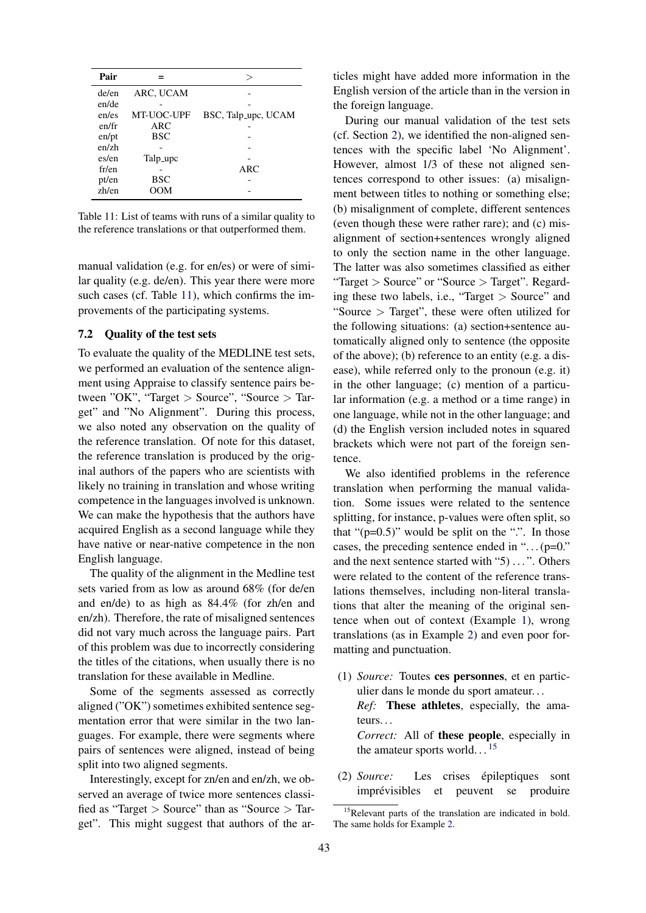<span id="page-15-0"></span>

| Pair  |            | >                   |
|-------|------------|---------------------|
| de/en | ARC, UCAM  |                     |
| en/de |            |                     |
| en/es | MT-UOC-UPF | BSC, Talp_upc, UCAM |
| en/fr | ARC        |                     |
| en/pt | <b>BSC</b> |                     |
| en/zh |            |                     |
| es/en | Talp_upc   |                     |
| fr/en |            | ARC                 |
| pt/en | BSC        |                     |
| zh/en | OOM        |                     |

Table 11: List of teams with runs of a similar quality to the reference translations or that outperformed them.

manual validation (e.g. for en/es) or were of similar quality (e.g. de/en). This year there were more such cases (cf. Table [11\)](#page-15-0), which confirms the improvements of the participating systems.

#### 7.2 Quality of the test sets

To evaluate the quality of the MEDLINE test sets, we performed an evaluation of the sentence alignment using Appraise to classify sentence pairs between "OK", "Target > Source", "Source > Target" and "No Alignment". During this process, we also noted any observation on the quality of the reference translation. Of note for this dataset, the reference translation is produced by the original authors of the papers who are scientists with likely no training in translation and whose writing competence in the languages involved is unknown. We can make the hypothesis that the authors have acquired English as a second language while they have native or near-native competence in the non English language.

The quality of the alignment in the Medline test sets varied from as low as around 68% (for de/en and en/de) to as high as 84.4% (for zh/en and en/zh). Therefore, the rate of misaligned sentences did not vary much across the language pairs. Part of this problem was due to incorrectly considering the titles of the citations, when usually there is no translation for these available in Medline.

Some of the segments assessed as correctly aligned ("OK") sometimes exhibited sentence segmentation error that were similar in the two languages. For example, there were segments where pairs of sentences were aligned, instead of being split into two aligned segments.

Interestingly, except for zn/en and en/zh, we observed an average of twice more sentences classified as "Target > Source" than as "Source > Target". This might suggest that authors of the articles might have added more information in the English version of the article than in the version in the foreign language.

During our manual validation of the test sets (cf. Section [2\)](#page-3-0), we identified the non-aligned sentences with the specific label 'No Alignment'. However, almost 1/3 of these not aligned sentences correspond to other issues: (a) misalignment between titles to nothing or something else; (b) misalignment of complete, different sentences (even though these were rather rare); and (c) misalignment of section+sentences wrongly aligned to only the section name in the other language. The latter was also sometimes classified as either "Target > Source" or "Source > Target". Regarding these two labels, i.e., "Target > Source" and "Source > Target", these were often utilized for the following situations: (a) section+sentence automatically aligned only to sentence (the opposite of the above); (b) reference to an entity (e.g. a disease), while referred only to the pronoun (e.g. it) in the other language; (c) mention of a particular information (e.g. a method or a time range) in one language, while not in the other language; and (d) the English version included notes in squared brackets which were not part of the foreign sentence.

We also identified problems in the reference translation when performing the manual validation. Some issues were related to the sentence splitting, for instance, p-values were often split, so that " $(p=0.5)$ " would be split on the ".". In those cases, the preceding sentence ended in " $\dots$  (p=0.") and the next sentence started with "5) ...". Others were related to the content of the reference translations themselves, including non-literal translations that alter the meaning of the original sentence when out of context (Example [1\)](#page-15-1), wrong translations (as in Example [2\)](#page-15-2) and even poor formatting and punctuation.

- <span id="page-15-1"></span>(1) *Source:* Toutes ces personnes, et en particulier dans le monde du sport amateur. . . *Ref:* These athletes, especially, the amateurs. *Correct:* All of these people, especially in the amateur sports world.  $\cdot$ . <sup>[15](#page-15-3)</sup>
- <span id="page-15-2"></span>(2) *Source:* Les crises epileptiques sont ´ imprévisibles et peuvent se produire

<span id="page-15-3"></span><sup>&</sup>lt;sup>15</sup>Relevant parts of the translation are indicated in bold. The same holds for Example [2.](#page-15-2)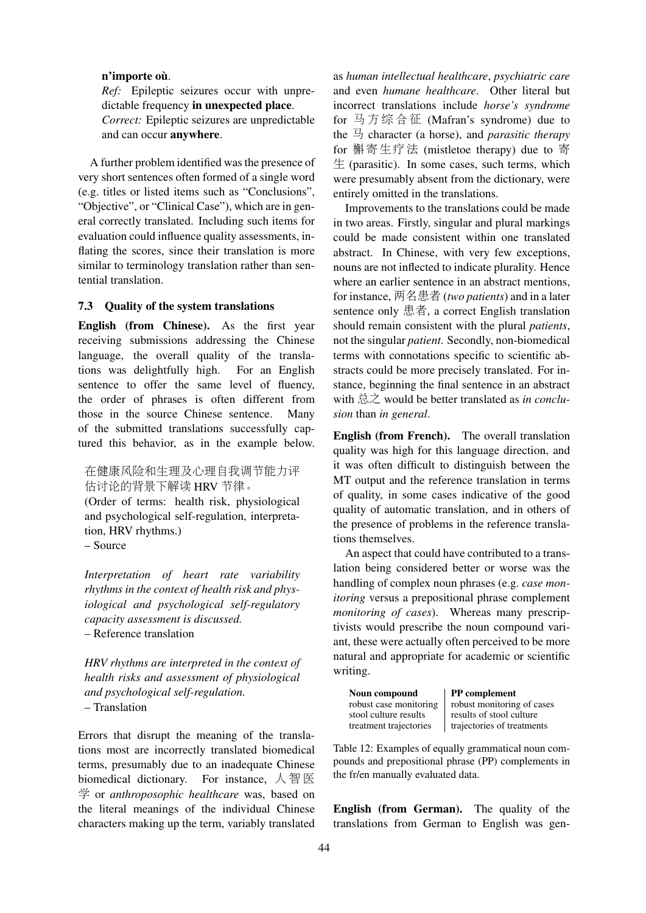#### n'importe où.

*Ref:* Epileptic seizures occur with unpredictable frequency in unexpected place.

*Correct:* Epileptic seizures are unpredictable and can occur anywhere.

A further problem identified was the presence of very short sentences often formed of a single word (e.g. titles or listed items such as "Conclusions", "Objective", or "Clinical Case"), which are in general correctly translated. Including such items for evaluation could influence quality assessments, inflating the scores, since their translation is more similar to terminology translation rather than sentential translation.

#### 7.3 Quality of the system translations

English (from Chinese). As the first year receiving submissions addressing the Chinese language, the overall quality of the translations was delightfully high. For an English sentence to offer the same level of fluency, the order of phrases is often different from those in the source Chinese sentence. Many of the submitted translations successfully captured this behavior, as in the example below.

<sup>在</sup>健康风险和生理及心理自我调节能力<sup>评</sup> <sup>估</sup>讨论的背景下解<sup>读</sup> HRV <sup>节</sup>律。

(Order of terms: health risk, physiological and psychological self-regulation, interpretation, HRV rhythms.) – Source

*Interpretation of heart rate variability rhythms in the context of health risk and physiological and psychological self-regulatory capacity assessment is discussed.* – Reference translation

*HRV rhythms are interpreted in the context of health risks and assessment of physiological and psychological self-regulation.*

– Translation

Errors that disrupt the meaning of the translations most are incorrectly translated biomedical terms, presumably due to an inadequate Chinese biomedical dictionary. For instance,  $\Diamond$  智 医 学 or *anthroposophic healthcare* was, based on the literal meanings of the individual Chinese characters making up the term, variably translated

as *human intellectual healthcare*, *psychiatric care* and even *humane healthcare*. Other literal but incorrect translations include *horse's syndrome* for 马 <sup>方</sup> <sup>综</sup> <sup>合</sup> 征 (Mafran's syndrome) due to the  $\exists$  character (a horse), and *parasitic therapy* for 槲寄生疗<sup>法</sup> (mistletoe therapy) due to <sup>寄</sup>  $\pm$  (parasitic). In some cases, such terms, which were presumably absent from the dictionary, were entirely omitted in the translations.

Improvements to the translations could be made in two areas. Firstly, singular and plural markings could be made consistent within one translated abstract. In Chinese, with very few exceptions, nouns are not inflected to indicate plurality. Hence where an earlier sentence in an abstract mentions, for instance, 两名患者 (*two patients*) and in a later sentence only 患者, a correct English translation should remain consistent with the plural *patients*, not the singular *patient*. Secondly, non-biomedical terms with connotations specific to scientific abstracts could be more precisely translated. For instance, beginning the final sentence in an abstract with 总之 would be better translated as *in conclusion* than *in general*.

English (from French). The overall translation quality was high for this language direction, and it was often difficult to distinguish between the MT output and the reference translation in terms of quality, in some cases indicative of the good quality of automatic translation, and in others of the presence of problems in the reference translations themselves.

An aspect that could have contributed to a translation being considered better or worse was the handling of complex noun phrases (e.g. *case monitoring* versus a prepositional phrase complement *monitoring of cases*). Whereas many prescriptivists would prescribe the noun compound variant, these were actually often perceived to be more natural and appropriate for academic or scientific writing.

| Noun compound          | <b>PP</b> complement       |
|------------------------|----------------------------|
| robust case monitoring | robust monitoring of cases |
| stool culture results  | results of stool culture   |
| treatment trajectories | trajectories of treatments |

Table 12: Examples of equally grammatical noun compounds and prepositional phrase (PP) complements in the fr/en manually evaluated data.

English (from German). The quality of the translations from German to English was gen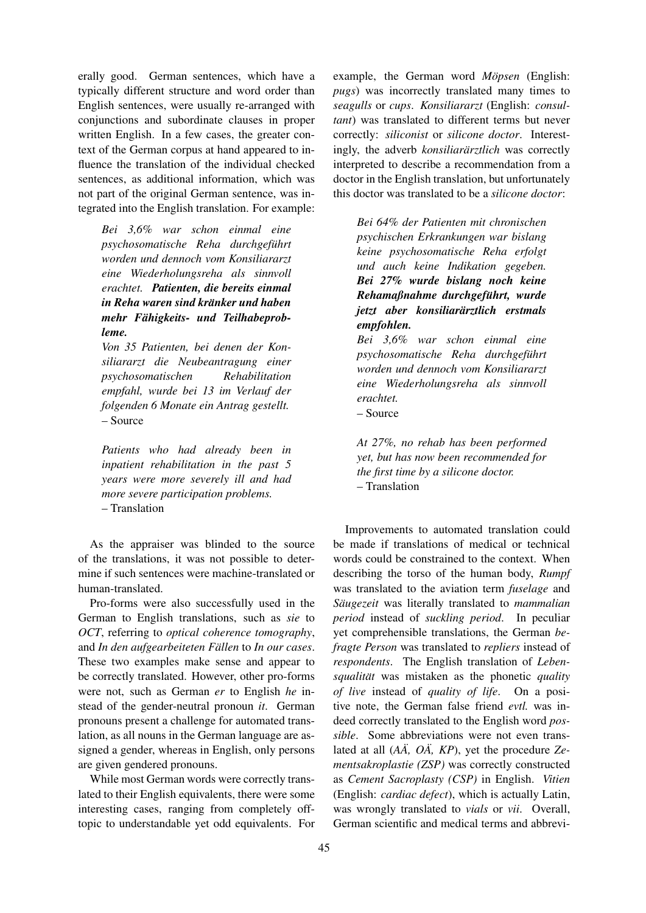erally good. German sentences, which have a typically different structure and word order than English sentences, were usually re-arranged with conjunctions and subordinate clauses in proper written English. In a few cases, the greater context of the German corpus at hand appeared to influence the translation of the individual checked sentences, as additional information, which was not part of the original German sentence, was integrated into the English translation. For example:

*Bei 3,6% war schon einmal eine psychosomatische Reha durchgefuhrt ¨ worden und dennoch vom Konsiliararzt eine Wiederholungsreha als sinnvoll erachtet. Patienten, die bereits einmal in Reha waren sind kränker und haben mehr Fahigkeits- und Teilhabeprob- ¨ leme.*

*Von 35 Patienten, bei denen der Konsiliararzt die Neubeantragung einer psychosomatischen Rehabilitation empfahl, wurde bei 13 im Verlauf der folgenden 6 Monate ein Antrag gestellt.* – Source

*Patients who had already been in inpatient rehabilitation in the past 5 years were more severely ill and had more severe participation problems.* – Translation

As the appraiser was blinded to the source of the translations, it was not possible to determine if such sentences were machine-translated or human-translated.

Pro-forms were also successfully used in the German to English translations, such as *sie* to *OCT*, referring to *optical coherence tomography*, and *In den aufgearbeiteten Fällen* to *In our cases*. These two examples make sense and appear to be correctly translated. However, other pro-forms were not, such as German *er* to English *he* instead of the gender-neutral pronoun *it*. German pronouns present a challenge for automated translation, as all nouns in the German language are assigned a gender, whereas in English, only persons are given gendered pronouns.

While most German words were correctly translated to their English equivalents, there were some interesting cases, ranging from completely offtopic to understandable yet odd equivalents. For

example, the German word *Möpsen* (English: *pugs*) was incorrectly translated many times to *seagulls* or *cups*. *Konsiliararzt* (English: *consultant*) was translated to different terms but never correctly: *siliconist* or *silicone doctor*. Interestingly, the adverb *konsiliarärztlich* was correctly interpreted to describe a recommendation from a doctor in the English translation, but unfortunately this doctor was translated to be a *silicone doctor*:

*Bei 64% der Patienten mit chronischen psychischen Erkrankungen war bislang keine psychosomatische Reha erfolgt und auch keine Indikation gegeben. Bei 27% wurde bislang noch keine Rehamaßnahme durchgefuhrt, wurde ¨ jetzt aber konsiliararztlich erstmals ¨ empfohlen.*

*Bei 3,6% war schon einmal eine psychosomatische Reha durchgefuhrt ¨ worden und dennoch vom Konsiliararzt eine Wiederholungsreha als sinnvoll erachtet.* – Source

*At 27%, no rehab has been performed yet, but has now been recommended for the first time by a silicone doctor.* – Translation

Improvements to automated translation could be made if translations of medical or technical words could be constrained to the context. When describing the torso of the human body, *Rumpf* was translated to the aviation term *fuselage* and *Säugezeit* was literally translated to *mammalian period* instead of *suckling period*. In peculiar yet comprehensible translations, the German *befragte Person* was translated to *repliers* instead of *respondents*. The English translation of *Lebensqualitat¨* was mistaken as the phonetic *quality of live* instead of *quality of life*. On a positive note, the German false friend *evtl.* was indeed correctly translated to the English word *possible*. Some abbreviations were not even translated at all  $(A\ddot{A}, O\ddot{A}, KP)$ , yet the procedure  $Ze$ *mentsakroplastie (ZSP)* was correctly constructed as *Cement Sacroplasty (CSP)* in English. *Vitien* (English: *cardiac defect*), which is actually Latin, was wrongly translated to *vials* or *vii*. Overall, German scientific and medical terms and abbrevi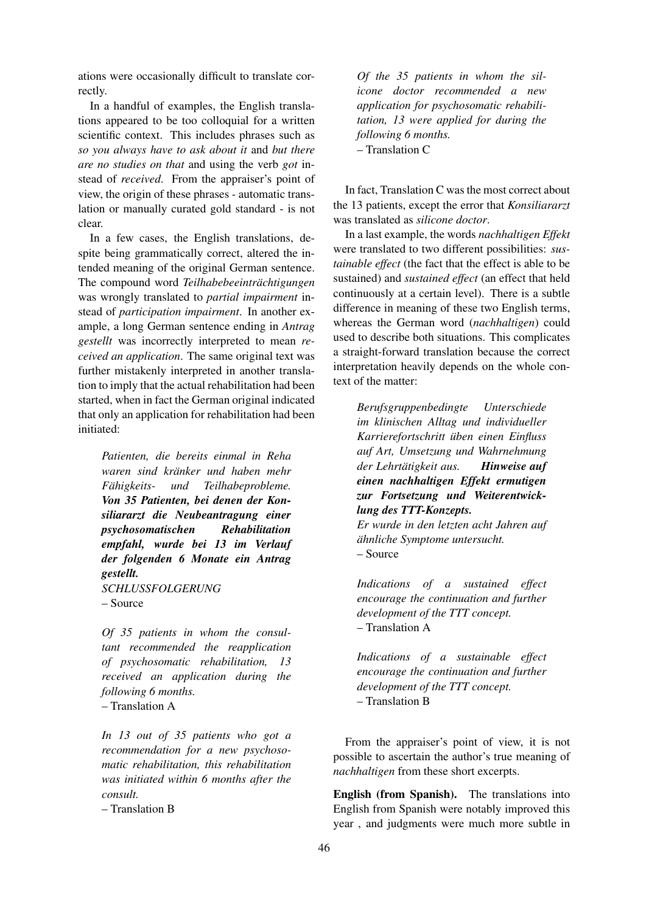ations were occasionally difficult to translate correctly.

In a handful of examples, the English translations appeared to be too colloquial for a written scientific context. This includes phrases such as *so you always have to ask about it* and *but there are no studies on that* and using the verb *got* instead of *received*. From the appraiser's point of view, the origin of these phrases - automatic translation or manually curated gold standard - is not clear.

In a few cases, the English translations, despite being grammatically correct, altered the intended meaning of the original German sentence. The compound word *Teilhabebeeintrachtigungen ¨* was wrongly translated to *partial impairment* instead of *participation impairment*. In another example, a long German sentence ending in *Antrag gestellt* was incorrectly interpreted to mean *received an application*. The same original text was further mistakenly interpreted in another translation to imply that the actual rehabilitation had been started, when in fact the German original indicated that only an application for rehabilitation had been initiated:

*Patienten, die bereits einmal in Reha waren sind kranker und haben mehr ¨ Fähigkeits- und Teilhabeprobleme. Von 35 Patienten, bei denen der Konsiliararzt die Neubeantragung einer psychosomatischen Rehabilitation empfahl, wurde bei 13 im Verlauf der folgenden 6 Monate ein Antrag gestellt. SCHLUSSFOLGERUNG*

– Source

*Of 35 patients in whom the consultant recommended the reapplication of psychosomatic rehabilitation, 13 received an application during the following 6 months.* – Translation A

*In 13 out of 35 patients who got a recommendation for a new psychosomatic rehabilitation, this rehabilitation was initiated within 6 months after the consult.*

– Translation B

*Of the 35 patients in whom the silicone doctor recommended a new application for psychosomatic rehabilitation, 13 were applied for during the following 6 months.* – Translation C

In fact, Translation C was the most correct about the 13 patients, except the error that *Konsiliararzt* was translated as *silicone doctor*.

In a last example, the words *nachhaltigen Effekt* were translated to two different possibilities: *sustainable effect* (the fact that the effect is able to be sustained) and *sustained effect* (an effect that held continuously at a certain level). There is a subtle difference in meaning of these two English terms, whereas the German word (*nachhaltigen*) could used to describe both situations. This complicates a straight-forward translation because the correct interpretation heavily depends on the whole context of the matter:

*Berufsgruppenbedingte Unterschiede im klinischen Alltag und individueller Karrierefortschritt uben einen Einfluss ¨ auf Art, Umsetzung und Wahrnehmung der Lehrtatigkeit aus. ¨ Hinweise auf einen nachhaltigen Effekt ermutigen zur Fortsetzung und Weiterentwicklung des TTT-Konzepts.*

*Er wurde in den letzten acht Jahren auf ahnliche Symptome untersucht. ¨* – Source

*Indications of a sustained effect encourage the continuation and further development of the TTT concept.* – Translation A

*Indications of a sustainable effect encourage the continuation and further development of the TTT concept.* – Translation B

From the appraiser's point of view, it is not possible to ascertain the author's true meaning of *nachhaltigen* from these short excerpts.

English (from Spanish). The translations into English from Spanish were notably improved this year , and judgments were much more subtle in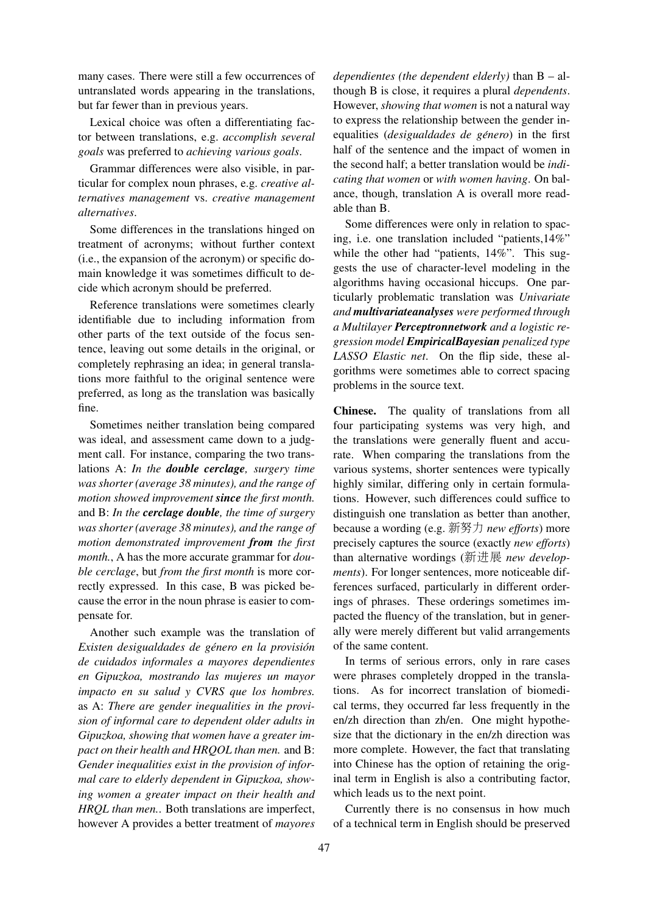many cases. There were still a few occurrences of untranslated words appearing in the translations, but far fewer than in previous years.

Lexical choice was often a differentiating factor between translations, e.g. *accomplish several goals* was preferred to *achieving various goals*.

Grammar differences were also visible, in particular for complex noun phrases, e.g. *creative alternatives management* vs. *creative management alternatives*.

Some differences in the translations hinged on treatment of acronyms; without further context (i.e., the expansion of the acronym) or specific domain knowledge it was sometimes difficult to decide which acronym should be preferred.

Reference translations were sometimes clearly identifiable due to including information from other parts of the text outside of the focus sentence, leaving out some details in the original, or completely rephrasing an idea; in general translations more faithful to the original sentence were preferred, as long as the translation was basically fine.

Sometimes neither translation being compared was ideal, and assessment came down to a judgment call. For instance, comparing the two translations A: *In the double cerclage, surgery time was shorter (average 38 minutes), and the range of motion showed improvement since the first month.* and B: *In the cerclage double, the time of surgery was shorter (average 38 minutes), and the range of motion demonstrated improvement from the first month.*, A has the more accurate grammar for *double cerclage*, but *from the first month* is more correctly expressed. In this case, B was picked because the error in the noun phrase is easier to compensate for.

Another such example was the translation of *Existen desigualdades de genero en la provisi ´ on´ de cuidados informales a mayores dependientes en Gipuzkoa, mostrando las mujeres un mayor impacto en su salud y CVRS que los hombres.* as A: *There are gender inequalities in the provision of informal care to dependent older adults in Gipuzkoa, showing that women have a greater impact on their health and HRQOL than men.* and B: *Gender inequalities exist in the provision of informal care to elderly dependent in Gipuzkoa, showing women a greater impact on their health and HRQL than men.*. Both translations are imperfect, however A provides a better treatment of *mayores* *dependientes (the dependent elderly)* than B – although B is close, it requires a plural *dependents*. However, *showing that women* is not a natural way to express the relationship between the gender inequalities (*desigualdades de género*) in the first half of the sentence and the impact of women in the second half; a better translation would be *indicating that women* or *with women having*. On balance, though, translation A is overall more readable than B.

Some differences were only in relation to spacing, i.e. one translation included "patients,14%" while the other had "patients, 14%". This suggests the use of character-level modeling in the algorithms having occasional hiccups. One particularly problematic translation was *Univariate and multivariateanalyses were performed through a Multilayer Perceptronnetwork and a logistic regression model EmpiricalBayesian penalized type LASSO Elastic net*. On the flip side, these algorithms were sometimes able to correct spacing problems in the source text.

Chinese. The quality of translations from all four participating systems was very high, and the translations were generally fluent and accurate. When comparing the translations from the various systems, shorter sentences were typically highly similar, differing only in certain formulations. However, such differences could suffice to distinguish one translation as better than another, because a wording (e.g. 新努力 *new efforts*) more precisely captures the source (exactly *new efforts*) than alternative wordings (新进展 *new developments*). For longer sentences, more noticeable differences surfaced, particularly in different orderings of phrases. These orderings sometimes impacted the fluency of the translation, but in generally were merely different but valid arrangements of the same content.

In terms of serious errors, only in rare cases were phrases completely dropped in the translations. As for incorrect translation of biomedical terms, they occurred far less frequently in the en/zh direction than zh/en. One might hypothesize that the dictionary in the en/zh direction was more complete. However, the fact that translating into Chinese has the option of retaining the original term in English is also a contributing factor, which leads us to the next point.

Currently there is no consensus in how much of a technical term in English should be preserved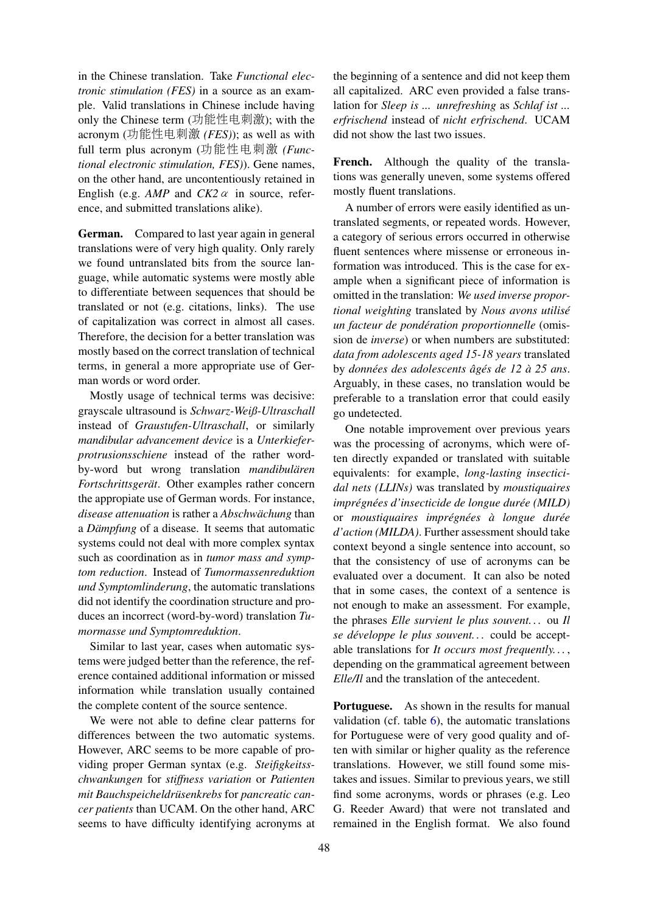in the Chinese translation. Take *Functional electronic stimulation (FES)* in a source as an example. Valid translations in Chinese include having only the Chinese term (功能性电刺激); with the acronym (功能性电刺<sup>激</sup> *(FES)*); as well as with full term plus acronym (功能性电刺<sup>激</sup> *(Functional electronic stimulation, FES)*). Gene names, on the other hand, are uncontentiously retained in English (e.g.  $AMP$  and  $CK2 \alpha$  in source, reference, and submitted translations alike).

German. Compared to last year again in general translations were of very high quality. Only rarely we found untranslated bits from the source language, while automatic systems were mostly able to differentiate between sequences that should be translated or not (e.g. citations, links). The use of capitalization was correct in almost all cases. Therefore, the decision for a better translation was mostly based on the correct translation of technical terms, in general a more appropriate use of German words or word order.

Mostly usage of technical terms was decisive: grayscale ultrasound is *Schwarz-Weiß-Ultraschall* instead of *Graustufen-Ultraschall*, or similarly *mandibular advancement device* is a *Unterkieferprotrusionsschiene* instead of the rather wordby-word but wrong translation *mandibularen ¨ Fortschrittsgerät*. Other examples rather concern the appropiate use of German words. For instance, *disease attenuation* is rather a *Abschwächung* than a *Dämpfung* of a disease. It seems that automatic systems could not deal with more complex syntax such as coordination as in *tumor mass and symptom reduction*. Instead of *Tumormassenreduktion und Symptomlinderung*, the automatic translations did not identify the coordination structure and produces an incorrect (word-by-word) translation *Tumormasse und Symptomreduktion*.

Similar to last year, cases when automatic systems were judged better than the reference, the reference contained additional information or missed information while translation usually contained the complete content of the source sentence.

We were not able to define clear patterns for differences between the two automatic systems. However, ARC seems to be more capable of providing proper German syntax (e.g. *Steifigkeitsschwankungen* for *stiffness variation* or *Patienten mit Bauchspeicheldrüsenkrebs* for *pancreatic cancer patients* than UCAM. On the other hand, ARC seems to have difficulty identifying acronyms at the beginning of a sentence and did not keep them all capitalized. ARC even provided a false translation for *Sleep is ... unrefreshing* as *Schlaf ist ... erfrischend* instead of *nicht erfrischend*. UCAM did not show the last two issues.

French. Although the quality of the translations was generally uneven, some systems offered mostly fluent translations.

A number of errors were easily identified as untranslated segments, or repeated words. However, a category of serious errors occurred in otherwise fluent sentences where missense or erroneous information was introduced. This is the case for example when a significant piece of information is omitted in the translation: *We used inverse proportional weighting* translated by *Nous avons utilise´ un facteur de ponderation proportionnelle ´* (omission de *inverse*) or when numbers are substituted: *data from adolescents aged 15-18 years* translated by *données des adolescents âgés de 12 à 25 ans.* Arguably, in these cases, no translation would be preferable to a translation error that could easily go undetected.

One notable improvement over previous years was the processing of acronyms, which were often directly expanded or translated with suitable equivalents: for example, *long-lasting insecticidal nets (LLINs)* was translated by *moustiquaires impregn ´ ees d'insecticide de longue dur ´ ee (MILD) ´* or *moustiquaires impregn ´ ees ´ a longue dur ` ee´ d'action (MILDA)*. Further assessment should take context beyond a single sentence into account, so that the consistency of use of acronyms can be evaluated over a document. It can also be noted that in some cases, the context of a sentence is not enough to make an assessment. For example, the phrases *Elle survient le plus souvent. . .* ou *Il se developpe le plus souvent. . . ´* could be acceptable translations for *It occurs most frequently. . .* , depending on the grammatical agreement between *Elle/Il* and the translation of the antecedent.

Portuguese. As shown in the results for manual validation (cf. table [6\)](#page-9-0), the automatic translations for Portuguese were of very good quality and often with similar or higher quality as the reference translations. However, we still found some mistakes and issues. Similar to previous years, we still find some acronyms, words or phrases (e.g. Leo G. Reeder Award) that were not translated and remained in the English format. We also found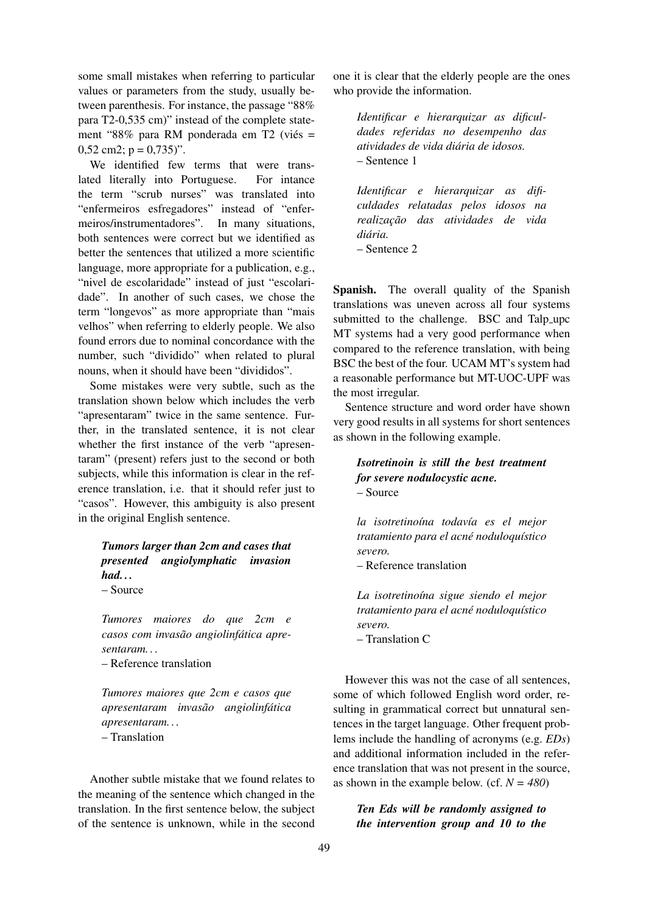some small mistakes when referring to particular values or parameters from the study, usually between parenthesis. For instance, the passage "88% para T2-0,535 cm)" instead of the complete statement "88% para RM ponderada em T2 (viés = 0,52 cm2;  $p = 0.735$ ".

We identified few terms that were translated literally into Portuguese. For intance the term "scrub nurses" was translated into "enfermeiros esfregadores" instead of "enfermeiros/instrumentadores". In many situations, both sentences were correct but we identified as better the sentences that utilized a more scientific language, more appropriate for a publication, e.g., "nivel de escolaridade" instead of just "escolaridade". In another of such cases, we chose the term "longevos" as more appropriate than "mais velhos" when referring to elderly people. We also found errors due to nominal concordance with the number, such "dividido" when related to plural nouns, when it should have been "divididos".

Some mistakes were very subtle, such as the translation shown below which includes the verb "apresentaram" twice in the same sentence. Further, in the translated sentence, it is not clear whether the first instance of the verb "apresentaram" (present) refers just to the second or both subjects, while this information is clear in the reference translation, i.e. that it should refer just to "casos". However, this ambiguity is also present in the original English sentence.

# *Tumors larger than 2cm and cases that presented angiolymphatic invasion had. . .* – Source

*Tumores maiores do que 2cm e casos com invasao angiolinf ˜ atica apre- ´ sentaram. . .*

– Reference translation

*Tumores maiores que 2cm e casos que apresentaram invasao angiolinf ˜ atica ´ apresentaram. . .* – Translation

Another subtle mistake that we found relates to the meaning of the sentence which changed in the translation. In the first sentence below, the subject of the sentence is unknown, while in the second

one it is clear that the elderly people are the ones who provide the information.

*Identificar e hierarquizar as dificuldades referidas no desempenho das atividades de vida diaria de idosos. ´* – Sentence 1

*Identificar e hierarquizar as dificuldades relatadas pelos idosos na*  $realização$  das atividades de vida *diaria. ´* – Sentence 2

Spanish. The overall quality of the Spanish translations was uneven across all four systems submitted to the challenge. BSC and Talp\_upc MT systems had a very good performance when compared to the reference translation, with being BSC the best of the four. UCAM MT's system had a reasonable performance but MT-UOC-UPF was the most irregular.

Sentence structure and word order have shown very good results in all systems for short sentences as shown in the following example.

*Isotretinoin is still the best treatment for severe nodulocystic acne.* – Source

*la isotretino´ına todav´ıa es el mejor tratamiento para el acne noduloqu ´ ´ıstico severo.*

– Reference translation

*La isotretino´ına sigue siendo el mejor tratamiento para el acne noduloqu ´ ´ıstico severo.* – Translation C

However this was not the case of all sentences, some of which followed English word order, resulting in grammatical correct but unnatural sentences in the target language. Other frequent problems include the handling of acronyms (e.g. *EDs*) and additional information included in the reference translation that was not present in the source, as shown in the example below. (cf.  $N = 480$ )

*Ten Eds will be randomly assigned to the intervention group and 10 to the*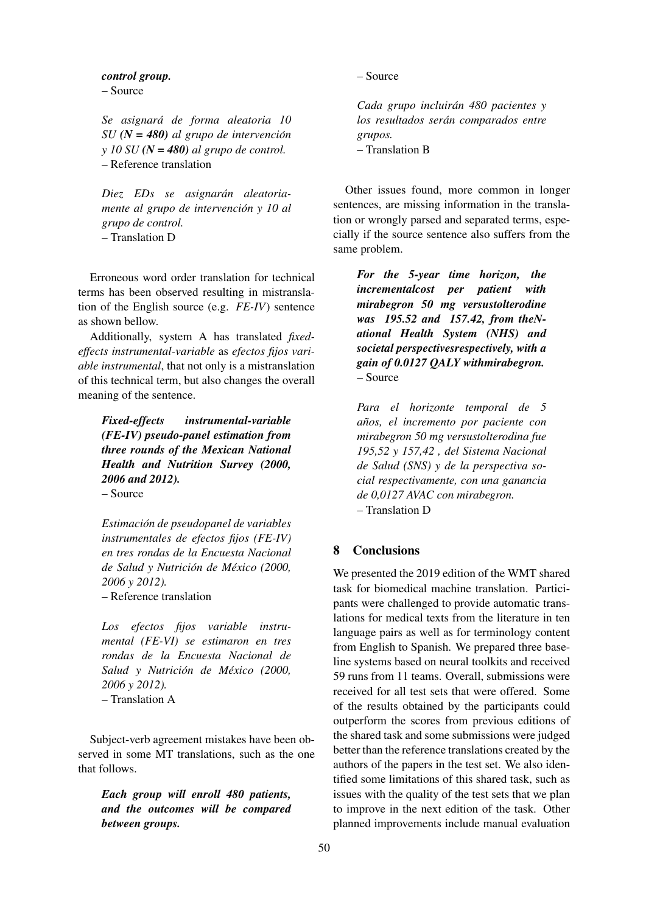#### *control group.*

– Source

*Se asignara de forma aleatoria 10 ´ SU (N = 480) al grupo de intervencion´ y 10 SU (N = 480) al grupo de control.* – Reference translation

 $Diez$  *EDs se asignarán aleatoriamente al grupo de intervencion y 10 al ´ grupo de control.* – Translation D

Erroneous word order translation for technical terms has been observed resulting in mistranslation of the English source (e.g. *FE-IV*) sentence as shown bellow.

Additionally, system A has translated *fixedeffects instrumental-variable* as *efectos fijos variable instrumental*, that not only is a mistranslation of this technical term, but also changes the overall meaning of the sentence.

*Fixed-effects instrumental-variable (FE-IV) pseudo-panel estimation from three rounds of the Mexican National Health and Nutrition Survey (2000, 2006 and 2012).* – Source

*Estimacion de pseudopanel de variables ´ instrumentales de efectos fijos (FE-IV) en tres rondas de la Encuesta Nacional de Salud y Nutricion de M ´ exico (2000, ´*

– Reference translation

*2006 y 2012).*

*Los efectos fijos variable instrumental (FE-VI) se estimaron en tres rondas de la Encuesta Nacional de Salud y Nutrición de México (2000, 2006 y 2012).* – Translation A

Subject-verb agreement mistakes have been observed in some MT translations, such as the one that follows.

*Each group will enroll 480 patients, and the outcomes will be compared between groups.*

– Source

*Cada grupo incluiran 480 pacientes y ´ los resultados seran comparados entre ´ grupos.* – Translation B

Other issues found, more common in longer sentences, are missing information in the translation or wrongly parsed and separated terms, especially if the source sentence also suffers from the same problem.

*For the 5-year time horizon, the incrementalcost per patient with mirabegron 50 mg versustolterodine was 195.52 and 157.42, from theNational Health System (NHS) and societal perspectivesrespectively, with a gain of 0.0127 QALY withmirabegron.* – Source

*Para el horizonte temporal de 5 anos, el incremento por paciente con ˜ mirabegron 50 mg versustolterodina fue 195,52 y 157,42 , del Sistema Nacional de Salud (SNS) y de la perspectiva social respectivamente, con una ganancia de 0,0127 AVAC con mirabegron.* – Translation D

## 8 Conclusions

We presented the 2019 edition of the WMT shared task for biomedical machine translation. Participants were challenged to provide automatic translations for medical texts from the literature in ten language pairs as well as for terminology content from English to Spanish. We prepared three baseline systems based on neural toolkits and received 59 runs from 11 teams. Overall, submissions were received for all test sets that were offered. Some of the results obtained by the participants could outperform the scores from previous editions of the shared task and some submissions were judged better than the reference translations created by the authors of the papers in the test set. We also identified some limitations of this shared task, such as issues with the quality of the test sets that we plan to improve in the next edition of the task. Other planned improvements include manual evaluation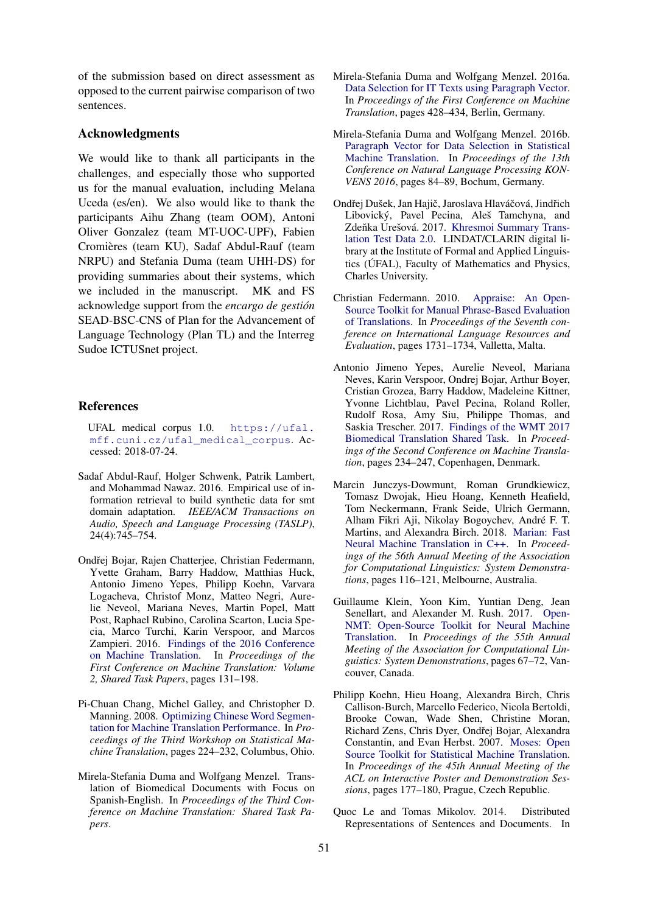of the submission based on direct assessment as opposed to the current pairwise comparison of two sentences.

#### Acknowledgments

We would like to thank all participants in the challenges, and especially those who supported us for the manual evaluation, including Melana Uceda (es/en). We also would like to thank the participants Aihu Zhang (team OOM), Antoni Oliver Gonzalez (team MT-UOC-UPF), Fabien Cromières (team KU), Sadaf Abdul-Rauf (team NRPU) and Stefania Duma (team UHH-DS) for providing summaries about their systems, which we included in the manuscript. MK and FS acknowledge support from the *encargo de gestion´* SEAD-BSC-CNS of Plan for the Advancement of Language Technology (Plan TL) and the Interreg Sudoe ICTUSnet project.

#### References

- <span id="page-23-4"></span>UFAL medical corpus 1.0. [https://ufal.](https://ufal.mff.cuni.cz/ufal_medical_corpus) [mff.cuni.cz/ufal\\_medical\\_corpus](https://ufal.mff.cuni.cz/ufal_medical_corpus). Accessed: 2018-07-24.
- <span id="page-23-7"></span>Sadaf Abdul-Rauf, Holger Schwenk, Patrik Lambert, and Mohammad Nawaz. 2016. Empirical use of information retrieval to build synthetic data for smt domain adaptation. *IEEE/ACM Transactions on Audio, Speech and Language Processing (TASLP)*, 24(4):745–754.
- <span id="page-23-2"></span>Ondřej Bojar, Rajen Chatterjee, Christian Federmann, Yvette Graham, Barry Haddow, Matthias Huck, Antonio Jimeno Yepes, Philipp Koehn, Varvara Logacheva, Christof Monz, Matteo Negri, Aurelie Neveol, Mariana Neves, Martin Popel, Matt Post, Raphael Rubino, Carolina Scarton, Lucia Specia, Marco Turchi, Karin Verspoor, and Marcos Zampieri. 2016. [Findings of the 2016 Conference](https://doi.org/10.18653/v1/W16-2301) [on Machine Translation.](https://doi.org/10.18653/v1/W16-2301) In *Proceedings of the First Conference on Machine Translation: Volume 2, Shared Task Papers*, pages 131–198.
- <span id="page-23-12"></span>Pi-Chuan Chang, Michel Galley, and Christopher D. Manning. 2008. [Optimizing Chinese Word Segmen](http://dl.acm.org/citation.cfm?id=1626394.1626430)[tation for Machine Translation Performance.](http://dl.acm.org/citation.cfm?id=1626394.1626430) In *Proceedings of the Third Workshop on Statistical Machine Translation*, pages 224–232, Columbus, Ohio.
- <span id="page-23-10"></span>Mirela-Stefania Duma and Wolfgang Menzel. Translation of Biomedical Documents with Focus on Spanish-English. In *Proceedings of the Third Conference on Machine Translation: Shared Task Papers*.
- <span id="page-23-8"></span>Mirela-Stefania Duma and Wolfgang Menzel. 2016a. [Data Selection for IT Texts using Paragraph Vector.](http://www.aclweb.org/anthology/W/W16/W16-2331) In *Proceedings of the First Conference on Machine Translation*, pages 428–434, Berlin, Germany.
- <span id="page-23-9"></span>Mirela-Stefania Duma and Wolfgang Menzel. 2016b. [Paragraph Vector for Data Selection in Statistical](https://www.linguistics.rub.de/konvens16/pub/11_konvensproc.pdf) [Machine Translation.](https://www.linguistics.rub.de/konvens16/pub/11_konvensproc.pdf) In *Proceedings of the 13th Conference on Natural Language Processing KON-VENS 2016*, pages 84–89, Bochum, Germany.
- <span id="page-23-0"></span>Ondřej Dušek, Jan Hajič, Jaroslava Hlaváčová, Jindřich Libovický, Pavel Pecina, Aleš Tamchyna, and Zdeňka Urešová. 2017. [Khresmoi Summary Trans](http://hdl.handle.net/11234/1-2122)[lation Test Data 2.0.](http://hdl.handle.net/11234/1-2122) LINDAT/CLARIN digital library at the Institute of Formal and Applied Linguistics (UFAL), Faculty of Mathematics and Physics, ´ Charles University.
- <span id="page-23-13"></span>Christian Federmann. 2010. [Appraise: An Open-](http://www.lrec-conf.org/proceedings/lrec2010/pdf/197_Paper.pdf)[Source Toolkit for Manual Phrase-Based Evaluation](http://www.lrec-conf.org/proceedings/lrec2010/pdf/197_Paper.pdf) [of Translations.](http://www.lrec-conf.org/proceedings/lrec2010/pdf/197_Paper.pdf) In *Proceedings of the Seventh conference on International Language Resources and Evaluation*, pages 1731–1734, Valletta, Malta.
- <span id="page-23-1"></span>Antonio Jimeno Yepes, Aurelie Neveol, Mariana Neves, Karin Verspoor, Ondrej Bojar, Arthur Boyer, Cristian Grozea, Barry Haddow, Madeleine Kittner, Yvonne Lichtblau, Pavel Pecina, Roland Roller, Rudolf Rosa, Amy Siu, Philippe Thomas, and Saskia Trescher. 2017. [Findings of the WMT 2017](https://doi.org/10.18653/v1/W17-4719) [Biomedical Translation Shared Task.](https://doi.org/10.18653/v1/W17-4719) In *Proceedings of the Second Conference on Machine Translation*, pages 234–247, Copenhagen, Denmark.
- <span id="page-23-3"></span>Marcin Junczys-Dowmunt, Roman Grundkiewicz, Tomasz Dwojak, Hieu Hoang, Kenneth Heafield, Tom Neckermann, Frank Seide, Ulrich Germann, Alham Fikri Aji, Nikolay Bogoychev, Andre F. T. ´ Martins, and Alexandra Birch. 2018. [Marian: Fast](http://www.aclweb.org/anthology/P18-4020) [Neural Machine Translation in C++.](http://www.aclweb.org/anthology/P18-4020) In *Proceedings of the 56th Annual Meeting of the Association for Computational Linguistics: System Demonstrations*, pages 116–121, Melbourne, Australia.
- <span id="page-23-6"></span>Guillaume Klein, Yoon Kim, Yuntian Deng, Jean Senellart, and Alexander M. Rush. 2017. [Open-](https://doi.org/10.18653/v1/P17-4012)[NMT: Open-Source Toolkit for Neural Machine](https://doi.org/10.18653/v1/P17-4012) [Translation.](https://doi.org/10.18653/v1/P17-4012) In *Proceedings of the 55th Annual Meeting of the Association for Computational Linguistics: System Demonstrations*, pages 67–72, Vancouver, Canada.
- <span id="page-23-5"></span>Philipp Koehn, Hieu Hoang, Alexandra Birch, Chris Callison-Burch, Marcello Federico, Nicola Bertoldi, Brooke Cowan, Wade Shen, Christine Moran, Richard Zens, Chris Dyer, Ondřej Bojar, Alexandra Constantin, and Evan Herbst. 2007. [Moses: Open](https://www.aclweb.org/anthology/P07-2045) [Source Toolkit for Statistical Machine Translation.](https://www.aclweb.org/anthology/P07-2045) In *Proceedings of the 45th Annual Meeting of the ACL on Interactive Poster and Demonstration Sessions*, pages 177–180, Prague, Czech Republic.
- <span id="page-23-11"></span>Quoc Le and Tomas Mikolov. 2014. Distributed Representations of Sentences and Documents. In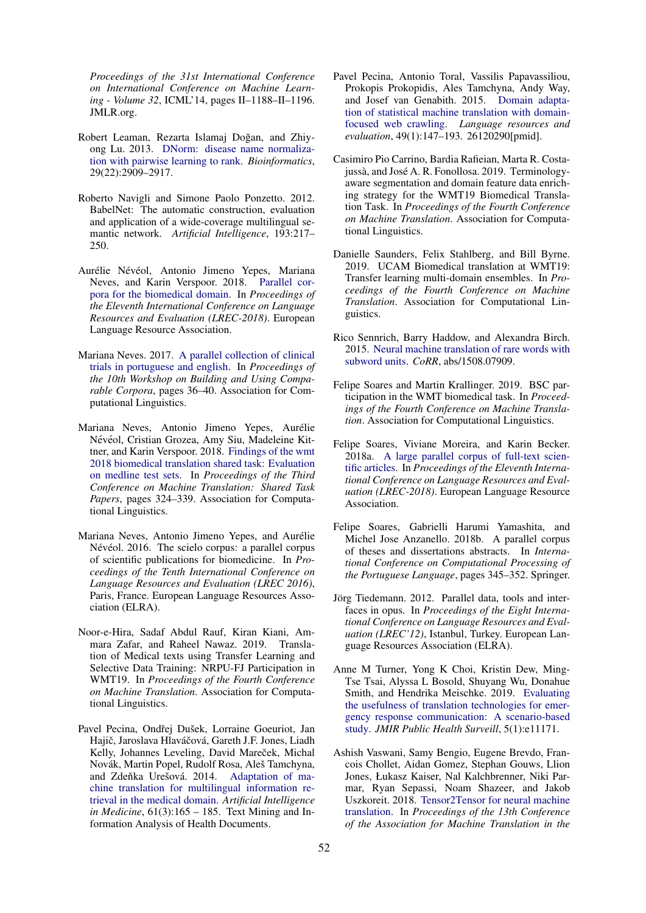*Proceedings of the 31st International Conference on International Conference on Machine Learning - Volume 32*, ICML'14, pages II–1188–II–1196. JMLR.org.

- <span id="page-24-9"></span>Robert Leaman, Rezarta Islamaj Doğan, and Zhiyong Lu. 2013. [DNorm: disease name normaliza](https://doi.org/10.1093/bioinformatics/btt474)[tion with pairwise learning to rank.](https://doi.org/10.1093/bioinformatics/btt474) *Bioinformatics*, 29(22):2909–2917.
- <span id="page-24-16"></span>Roberto Navigli and Simone Paolo Ponzetto. 2012. BabelNet: The automatic construction, evaluation and application of a wide-coverage multilingual semantic network. *Artificial Intelligence*, 193:217– 250.
- <span id="page-24-8"></span>Aurélie Névéol, Antonio Jimeno Yepes, Mariana Neves, and Karin Verspoor. 2018. [Parallel cor](http://aclweb.org/anthology/L18-1043)[pora for the biomedical domain.](http://aclweb.org/anthology/L18-1043) In *Proceedings of the Eleventh International Conference on Language Resources and Evaluation (LREC-2018)*. European Language Resource Association.
- <span id="page-24-4"></span>Mariana Neves. 2017. [A parallel collection of clinical](https://doi.org/10.18653/v1/W17-2507) [trials in portuguese and english.](https://doi.org/10.18653/v1/W17-2507) In *Proceedings of the 10th Workshop on Building and Using Comparable Corpora*, pages 36–40. Association for Computational Linguistics.
- <span id="page-24-7"></span>Mariana Neves, Antonio Jimeno Yepes, Aurelie ´ Névéol, Cristian Grozea, Amy Siu, Madeleine Kittner, and Karin Verspoor. 2018. [Findings of the wmt](http://aclweb.org/anthology/W18-6403) [2018 biomedical translation shared task: Evaluation](http://aclweb.org/anthology/W18-6403) [on medline test sets.](http://aclweb.org/anthology/W18-6403) In *Proceedings of the Third Conference on Machine Translation: Shared Task Papers*, pages 324–339. Association for Computational Linguistics.
- <span id="page-24-1"></span>Mariana Neves, Antonio Jimeno Yepes, and Aurelie ´ Névéol. 2016. The scielo corpus: a parallel corpus of scientific publications for biomedicine. In *Proceedings of the Tenth International Conference on Language Resources and Evaluation (LREC 2016)*, Paris, France. European Language Resources Association (ELRA).
- <span id="page-24-13"></span>Noor-e-Hira, Sadaf Abdul Rauf, Kiran Kiani, Ammara Zafar, and Raheel Nawaz. 2019. Translation of Medical texts using Transfer Learning and Selective Data Training: NRPU-FJ Participation in WMT19. In *Proceedings of the Fourth Conference on Machine Translation*. Association for Computational Linguistics.
- <span id="page-24-5"></span>Pavel Pecina, Ondřej Dušek, Lorraine Goeuriot, Jan Hajič, Jaroslava Hlaváčová, Gareth J.F. Jones, Liadh Kelly, Johannes Leveling, David Mareček, Michal Novák, Martin Popel, Rudolf Rosa, Aleš Tamchyna, and Zdeňka Urešová. 2014. [Adaptation of ma](https://doi.org/https://doi.org/10.1016/j.artmed.2014.01.004)[chine translation for multilingual information re](https://doi.org/https://doi.org/10.1016/j.artmed.2014.01.004)[trieval in the medical domain.](https://doi.org/https://doi.org/10.1016/j.artmed.2014.01.004) *Artificial Intelligence in Medicine*, 61(3):165 – 185. Text Mining and Information Analysis of Health Documents.
- <span id="page-24-6"></span>Pavel Pecina, Antonio Toral, Vassilis Papavassiliou, Prokopis Prokopidis, Ales Tamchyna, Andy Way, and Josef van Genabith. 2015. [Domain adapta](https://doi.org/10.1007/s10579-014-9282-3)[tion of statistical machine translation with domain](https://doi.org/10.1007/s10579-014-9282-3)[focused web crawling.](https://doi.org/10.1007/s10579-014-9282-3) *Language resources and evaluation*, 49(1):147–193. 26120290[pmid].
- <span id="page-24-15"></span>Casimiro Pio Carrino, Bardia Rafieian, Marta R. Costajussà, and José A. R. Fonollosa. 2019. Terminologyaware segmentation and domain feature data enriching strategy for the WMT19 Biomedical Translation Task. In *Proceedings of the Fourth Conference on Machine Translation*. Association for Computational Linguistics.
- <span id="page-24-17"></span>Danielle Saunders, Felix Stahlberg, and Bill Byrne. 2019. UCAM Biomedical translation at WMT19: Transfer learning multi-domain ensembles. In *Proceedings of the Fourth Conference on Machine Translation*. Association for Computational Linguistics.
- <span id="page-24-10"></span>Rico Sennrich, Barry Haddow, and Alexandra Birch. 2015. [Neural machine translation of rare words with](http://arxiv.org/abs/1508.07909) [subword units.](http://arxiv.org/abs/1508.07909) *CoRR*, abs/1508.07909.
- <span id="page-24-11"></span>Felipe Soares and Martin Krallinger. 2019. BSC participation in the WMT biomedical task. In *Proceedings of the Fourth Conference on Machine Translation*. Association for Computational Linguistics.
- <span id="page-24-2"></span>Felipe Soares, Viviane Moreira, and Karin Becker. 2018a. [A large parallel corpus of full-text scien](http://aclweb.org/anthology/L18-1546)[tific articles.](http://aclweb.org/anthology/L18-1546) In *Proceedings of the Eleventh International Conference on Language Resources and Evaluation (LREC-2018)*. European Language Resource Association.
- <span id="page-24-3"></span>Felipe Soares, Gabrielli Harumi Yamashita, and Michel Jose Anzanello. 2018b. A parallel corpus of theses and dissertations abstracts. In *International Conference on Computational Processing of the Portuguese Language*, pages 345–352. Springer.
- <span id="page-24-14"></span>Jörg Tiedemann. 2012. Parallel data, tools and interfaces in opus. In *Proceedings of the Eight International Conference on Language Resources and Evaluation (LREC'12)*, Istanbul, Turkey. European Language Resources Association (ELRA).
- <span id="page-24-0"></span>Anne M Turner, Yong K Choi, Kristin Dew, Ming-Tse Tsai, Alyssa L Bosold, Shuyang Wu, Donahue Smith, and Hendrika Meischke. 2019. [Evaluating](https://doi.org/10.2196/11171) [the usefulness of translation technologies for emer](https://doi.org/10.2196/11171)[gency response communication: A scenario-based](https://doi.org/10.2196/11171) [study.](https://doi.org/10.2196/11171) *JMIR Public Health Surveill*, 5(1):e11171.
- <span id="page-24-12"></span>Ashish Vaswani, Samy Bengio, Eugene Brevdo, Francois Chollet, Aidan Gomez, Stephan Gouws, Llion Jones, Łukasz Kaiser, Nal Kalchbrenner, Niki Parmar, Ryan Sepassi, Noam Shazeer, and Jakob Uszkoreit. 2018. [Tensor2Tensor for neural machine](https://www.aclweb.org/anthology/W18-1819) [translation.](https://www.aclweb.org/anthology/W18-1819) In *Proceedings of the 13th Conference of the Association for Machine Translation in the*